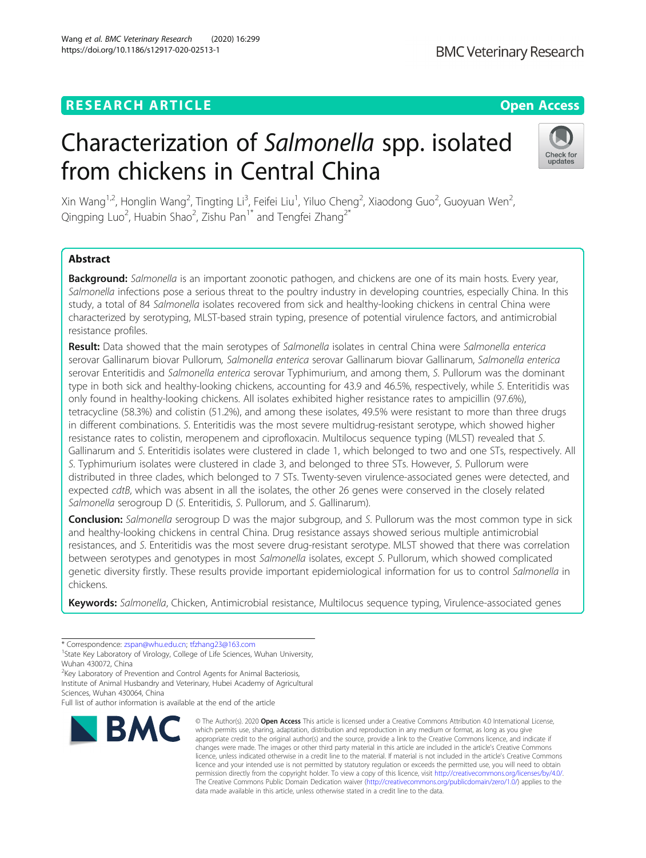## **RESEARCH ARTICLE Example 2014 12:30 The Contract of Contract ACCESS**

# Characterization of Salmonella spp. isolated from chickens in Central China

Xin Wang<sup>1,2</sup>, Honglin Wang<sup>2</sup>, Tingting Li<sup>3</sup>, Feifei Liu<sup>1</sup>, Yiluo Cheng<sup>2</sup>, Xiaodong Guo<sup>2</sup>, Guoyuan Wen<sup>2</sup> , Qingping Luo<sup>2</sup>, Huabin Shao<sup>2</sup>, Zishu Pan<sup>1\*</sup> and Tengfei Zhang<sup>2\*</sup>

## Abstract

Background: Salmonella is an important zoonotic pathogen, and chickens are one of its main hosts. Every year, Salmonella infections pose a serious threat to the poultry industry in developing countries, especially China. In this study, a total of 84 Salmonella isolates recovered from sick and healthy-looking chickens in central China were characterized by serotyping, MLST-based strain typing, presence of potential virulence factors, and antimicrobial resistance profiles.

Result: Data showed that the main serotypes of Salmonella isolates in central China were Salmonella enterica serovar Gallinarum biovar Pullorum, Salmonella enterica serovar Gallinarum biovar Gallinarum, Salmonella enterica serovar Enteritidis and Salmonella enterica serovar Typhimurium, and among them, S. Pullorum was the dominant type in both sick and healthy-looking chickens, accounting for 43.9 and 46.5%, respectively, while S. Enteritidis was only found in healthy-looking chickens. All isolates exhibited higher resistance rates to ampicillin (97.6%), tetracycline (58.3%) and colistin (51.2%), and among these isolates, 49.5% were resistant to more than three drugs in different combinations. S. Enteritidis was the most severe multidrug-resistant serotype, which showed higher resistance rates to colistin, meropenem and ciprofloxacin. Multilocus sequence typing (MLST) revealed that S. Gallinarum and S. Enteritidis isolates were clustered in clade 1, which belonged to two and one STs, respectively. All S. Typhimurium isolates were clustered in clade 3, and belonged to three STs. However, S. Pullorum were distributed in three clades, which belonged to 7 STs. Twenty-seven virulence-associated genes were detected, and expected cdtB, which was absent in all the isolates, the other 26 genes were conserved in the closely related Salmonella serogroup D (S. Enteritidis, S. Pullorum, and S. Gallinarum).

**Conclusion:** Salmonella serogroup D was the major subgroup, and S. Pullorum was the most common type in sick and healthy-looking chickens in central China. Drug resistance assays showed serious multiple antimicrobial resistances, and S. Enteritidis was the most severe drug-resistant serotype. MLST showed that there was correlation between serotypes and genotypes in most Salmonella isolates, except S. Pullorum, which showed complicated genetic diversity firstly. These results provide important epidemiological information for us to control Salmonella in chickens.

Keywords: Salmonella, Chicken, Antimicrobial resistance, Multilocus sequence typing, Virulence-associated genes

data made available in this article, unless otherwise stated in a credit line to the data.

© The Author(s), 2020 **Open Access** This article is licensed under a Creative Commons Attribution 4.0 International License, which permits use, sharing, adaptation, distribution and reproduction in any medium or format, as long as you give

Sciences, Wuhan 430064, China

**BMC** 



<sup>\*</sup> Correspondence: [zspan@whu.edu.cn;](mailto:zspan@whu.edu.cn) [tfzhang23@163.com](mailto:tfzhang23@163.com) <sup>1</sup>

<sup>&</sup>lt;sup>1</sup> State Key Laboratory of Virology, College of Life Sciences, Wuhan University, Wuhan 430072, China

<sup>&</sup>lt;sup>2</sup> Key Laboratory of Prevention and Control Agents for Animal Bacteriosis, Institute of Animal Husbandry and Veterinary, Hubei Academy of Agricultural

Full list of author information is available at the end of the article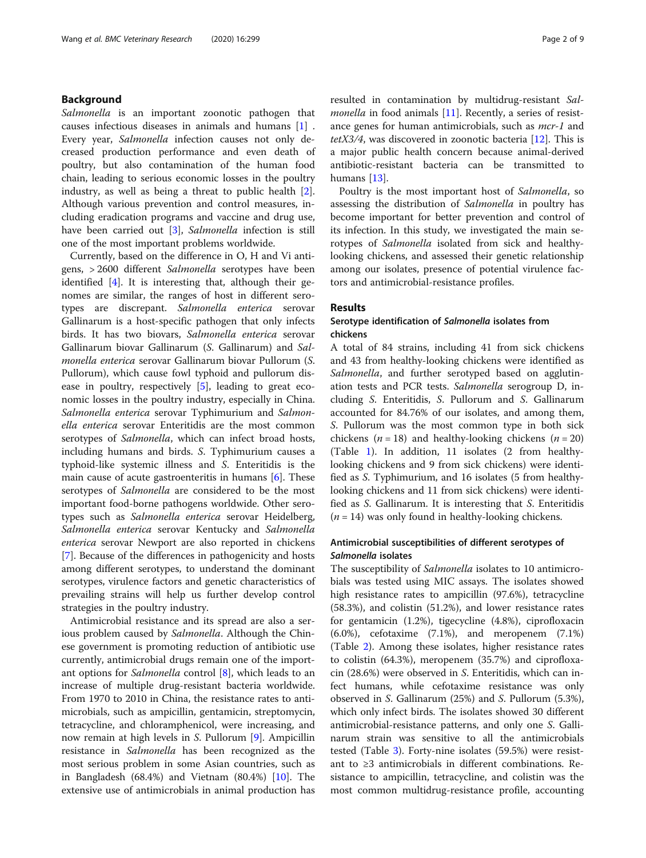## Background

Salmonella is an important zoonotic pathogen that causes infectious diseases in animals and humans [[1\]](#page-7-0) . Every year, Salmonella infection causes not only decreased production performance and even death of poultry, but also contamination of the human food chain, leading to serious economic losses in the poultry industry, as well as being a threat to public health [\[2](#page-7-0)]. Although various prevention and control measures, including eradication programs and vaccine and drug use, have been carried out [[3\]](#page-7-0), Salmonella infection is still one of the most important problems worldwide.

Currently, based on the difference in O, H and Vi antigens, > 2600 different Salmonella serotypes have been identified [\[4](#page-7-0)]. It is interesting that, although their genomes are similar, the ranges of host in different serotypes are discrepant. Salmonella enterica serovar Gallinarum is a host-specific pathogen that only infects birds. It has two biovars, Salmonella enterica serovar Gallinarum biovar Gallinarum (S. Gallinarum) and Salmonella enterica serovar Gallinarum biovar Pullorum (S. Pullorum), which cause fowl typhoid and pullorum disease in poultry, respectively [\[5](#page-7-0)], leading to great economic losses in the poultry industry, especially in China. Salmonella enterica serovar Typhimurium and Salmonella enterica serovar Enteritidis are the most common serotypes of Salmonella, which can infect broad hosts, including humans and birds. S. Typhimurium causes a typhoid-like systemic illness and S. Enteritidis is the main cause of acute gastroenteritis in humans [[6\]](#page-7-0). These serotypes of Salmonella are considered to be the most important food-borne pathogens worldwide. Other serotypes such as Salmonella enterica serovar Heidelberg, Salmonella enterica serovar Kentucky and Salmonella enterica serovar Newport are also reported in chickens [[7\]](#page-7-0). Because of the differences in pathogenicity and hosts among different serotypes, to understand the dominant serotypes, virulence factors and genetic characteristics of prevailing strains will help us further develop control strategies in the poultry industry.

Antimicrobial resistance and its spread are also a serious problem caused by Salmonella. Although the Chinese government is promoting reduction of antibiotic use currently, antimicrobial drugs remain one of the import-ant options for Salmonella control [\[8](#page-7-0)], which leads to an increase of multiple drug-resistant bacteria worldwide. From 1970 to 2010 in China, the resistance rates to antimicrobials, such as ampicillin, gentamicin, streptomycin, tetracycline, and chloramphenicol, were increasing, and now remain at high levels in S. Pullorum [[9\]](#page-7-0). Ampicillin resistance in Salmonella has been recognized as the most serious problem in some Asian countries, such as in Bangladesh (68.4%) and Vietnam (80.4%) [\[10\]](#page-7-0). The extensive use of antimicrobials in animal production has resulted in contamination by multidrug-resistant Sal*monella* in food animals  $[11]$  $[11]$ . Recently, a series of resistance genes for human antimicrobials, such as *mcr-1* and  $tetX3/4$ , was discovered in zoonotic bacteria [[12](#page-7-0)]. This is a major public health concern because animal-derived antibiotic-resistant bacteria can be transmitted to humans [\[13](#page-7-0)].

Poultry is the most important host of Salmonella, so assessing the distribution of Salmonella in poultry has become important for better prevention and control of its infection. In this study, we investigated the main serotypes of Salmonella isolated from sick and healthylooking chickens, and assessed their genetic relationship among our isolates, presence of potential virulence factors and antimicrobial-resistance profiles.

## Results

## Serotype identification of Salmonella isolates from chickens

A total of 84 strains, including 41 from sick chickens and 43 from healthy-looking chickens were identified as Salmonella, and further serotyped based on agglutination tests and PCR tests. Salmonella serogroup D, including S. Enteritidis, S. Pullorum and S. Gallinarum accounted for 84.76% of our isolates, and among them, S. Pullorum was the most common type in both sick chickens ( $n = 18$ ) and healthy-looking chickens ( $n = 20$ ) (Table [1](#page-2-0)). In addition, 11 isolates (2 from healthylooking chickens and 9 from sick chickens) were identified as S. Typhimurium, and 16 isolates (5 from healthylooking chickens and 11 from sick chickens) were identified as S. Gallinarum. It is interesting that S. Enteritidis  $(n = 14)$  was only found in healthy-looking chickens.

## Antimicrobial susceptibilities of different serotypes of Salmonella isolates

The susceptibility of *Salmonella* isolates to 10 antimicrobials was tested using MIC assays. The isolates showed high resistance rates to ampicillin (97.6%), tetracycline (58.3%), and colistin (51.2%), and lower resistance rates for gentamicin (1.2%), tigecycline (4.8%), ciprofloxacin (6.0%), cefotaxime (7.1%), and meropenem (7.1%) (Table [2\)](#page-2-0). Among these isolates, higher resistance rates to colistin (64.3%), meropenem (35.7%) and ciprofloxacin (28.6%) were observed in S. Enteritidis, which can infect humans, while cefotaxime resistance was only observed in S. Gallinarum (25%) and S. Pullorum (5.3%), which only infect birds. The isolates showed 30 different antimicrobial-resistance patterns, and only one S. Gallinarum strain was sensitive to all the antimicrobials tested (Table [3](#page-3-0)). Forty-nine isolates (59.5%) were resistant to ≥3 antimicrobials in different combinations. Resistance to ampicillin, tetracycline, and colistin was the most common multidrug-resistance profile, accounting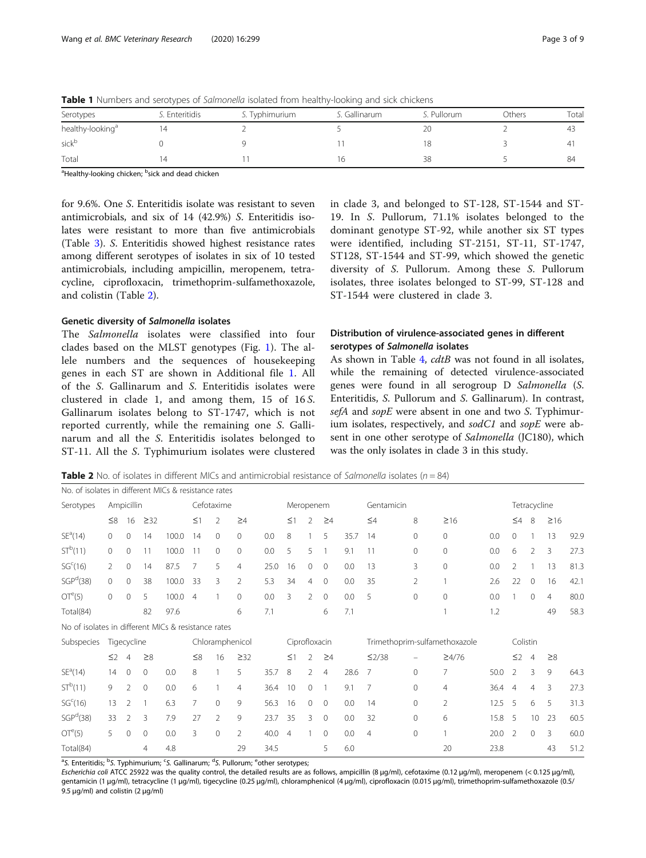| Serotypes                    | S. Enteritidis | S. Typhimurium | S. Gallinarum | S. Pullorum    | Others | Total |
|------------------------------|----------------|----------------|---------------|----------------|--------|-------|
| healthy-looking <sup>a</sup> |                |                |               | 2 <sup>c</sup> |        | 4⊀    |
| sickb                        |                |                |               |                |        |       |
| Total                        |                |                | 10            | 38             |        | 84    |

<span id="page-2-0"></span>Table 1 Numbers and serotypes of Salmonella isolated from healthy-looking and sick chickens

<sup>a</sup>Healthy-looking chicken; <sup>b</sup>sick and dead chicken

for 9.6%. One S. Enteritidis isolate was resistant to seven antimicrobials, and six of 14 (42.9%) S. Enteritidis isolates were resistant to more than five antimicrobials (Table [3\)](#page-3-0). S. Enteritidis showed highest resistance rates among different serotypes of isolates in six of 10 tested antimicrobials, including ampicillin, meropenem, tetracycline, ciprofloxacin, trimethoprim-sulfamethoxazole, and colistin (Table 2).

## Genetic diversity of Salmonella isolates

The Salmonella isolates were classified into four clades based on the MLST genotypes (Fig. [1](#page-4-0)). The allele numbers and the sequences of housekeeping genes in each ST are shown in Additional file [1](#page-7-0). All of the S. Gallinarum and S. Enteritidis isolates were clustered in clade 1, and among them, 15 of 16 S. Gallinarum isolates belong to ST-1747, which is not reported currently, while the remaining one S. Gallinarum and all the S. Enteritidis isolates belonged to ST-11. All the S. Typhimurium isolates were clustered in clade 3, and belonged to ST-128, ST-1544 and ST-19. In S. Pullorum, 71.1% isolates belonged to the dominant genotype ST-92, while another six ST types were identified, including ST-2151, ST-11, ST-1747, ST128, ST-1544 and ST-99, which showed the genetic diversity of S. Pullorum. Among these S. Pullorum isolates, three isolates belonged to ST-99, ST-128 and ST-1544 were clustered in clade 3.

## Distribution of virulence-associated genes in different serotypes of Salmonella isolates

As shown in Table [4,](#page-5-0) cdtB was not found in all isolates, while the remaining of detected virulence-associated genes were found in all serogroup D Salmonella (S. Enteritidis, S. Pullorum and S. Gallinarum). In contrast, sefA and sopE were absent in one and two S. Typhimurium isolates, respectively, and  $\textit{sodCl}$  and  $\textit{sopE}$  were absent in one other serotype of Salmonella (JC180), which was the only isolates in clade 3 in this study.

**Table 2** No. of isolates in different MICs and antimicrobial resistance of *Salmonella* isolates ( $n = 84$ )

| No. of isolates in different MICs & resistance rates |                |                |              |       |                 |                |                |               |                |                |                |                               |                |              |                |          |                |                |           |      |
|------------------------------------------------------|----------------|----------------|--------------|-------|-----------------|----------------|----------------|---------------|----------------|----------------|----------------|-------------------------------|----------------|--------------|----------------|----------|----------------|----------------|-----------|------|
| Serotypes                                            | Ampicillin     |                | Cefotaxime   |       |                 | Meropenem      |                |               |                | Gentamicin     |                |                               |                | Tetracycline |                |          |                |                |           |      |
|                                                      | $\leq 8$       | 16             | $\geq$ 32    |       | $\leq$ 1        | 2              | $\geq 4$       |               | $\leq$ 1       | 2              | $\geq 4$       |                               | $\leq 4$       | 8            | $\geq 16$      |          | $\leq 4$       | 8              | $\geq 16$ |      |
| SE <sup>a</sup> (14)                                 | $\Omega$       | $\mathbf{0}$   | 14           | 100.0 | 14              | $\mathbf{0}$   | $\circ$        | 0.0           | 8              |                | 5              | 35.7                          | 14             | $\mathbf{0}$ | $\circ$        | 0.0      | 0              |                | 13        | 92.9 |
| ST <sup>b</sup> (11)                                 | $\Omega$       | $\mathbf 0$    | 11           | 100.0 | 11              | $\mathbf{0}$   | $\mathbf{0}$   | 0.0           | 5              | 5              |                | 9.1                           | 11             | $\mathbf{0}$ | $\Omega$       | 0.0      | 6              | 2              | 3         | 27.3 |
| SG <sup>c</sup> (16)                                 | $\mathfrak{D}$ | $\mathbf{0}$   | 14           | 87.5  | 7               | 5              | $\overline{4}$ | 25.0          | 16             | 0              | $\overline{0}$ | 0.0                           | 13             | 3            | $\Omega$       | 0.0      | 2              |                | 13        | 81.3 |
| SGP <sup>d</sup> (38)                                | $\Omega$       | $\mathbf{0}$   | 38           | 100.0 | 33              | 3              | $\overline{2}$ | 5.3           | 34             | 4              | $\mathbf{0}$   | 0.0                           | 35             | 2            |                | 2.6      | 22             | $\mathbf{0}$   | 16        | 42.1 |
| OT <sup>e</sup> (5)                                  | $\Omega$       | $\mathbf{0}$   | 5            | 100.0 | $\overline{4}$  | 1              | $\mathbf{0}$   | 0.0           | 3              | $\overline{2}$ | $\mathbf{0}$   | 0.0                           | 5              | $\mathbf{0}$ | $\Omega$       | 0.0      |                | $\mathbf{0}$   | 4         | 80.0 |
| Total(84)                                            |                |                | 82           | 97.6  |                 |                | 6              | 7.1           |                |                | 6              | 7.1                           |                |              |                | 1.2      |                |                | 49        | 58.3 |
| No of isolates in different MICs & resistance rates  |                |                |              |       |                 |                |                |               |                |                |                |                               |                |              |                |          |                |                |           |      |
| Subspecies                                           |                | Tigecycline    |              |       | Chloramphenicol |                |                | Ciprofloxacin |                |                |                | Trimethoprim-sulfamethoxazole |                |              |                | Colistin |                |                |           |      |
|                                                      | $\leq$ 2       | $\overline{4}$ | $\geq 8$     |       | $\leq 8$        | 16             | $\geq$ 32      |               | $\leq$ 1       | 2              | $\geq 4$       |                               | $\leq$ 2/38    | -            | $\geq 4/76$    |          | $\leq$ 2       | $\overline{4}$ | $\geq 8$  |      |
| SE <sup>a</sup> (14)                                 | 14             | $\mathbf 0$    | 0            | 0.0   | 8               |                | 5              | 35.7          | 8              | $\overline{2}$ | $\overline{4}$ | 28.6                          | 7              | $\mathbf 0$  | 7              | 50.0     | $\overline{2}$ | 3              | 9         | 64.3 |
| ST <sup>b</sup> (11)                                 | 9              | 2              | $\mathbf 0$  | 0.0   | 6               | 1              | $\overline{4}$ | 36.4          | 10             | $\mathbf{0}$   |                | 9.1                           | 7              | $\mathbf{0}$ | $\overline{4}$ | 36.4     | $\overline{4}$ | $\overline{4}$ | 3         | 27.3 |
| SG <sup>c</sup> (16)                                 | 13             | $\overline{2}$ | $\mathbf{1}$ | 6.3   | 7               | $\mathbf{0}$   | 9              | 56.3          | 16             | 0              | $\overline{0}$ | 0.0                           | 14             | $\mathbf{0}$ | $\overline{2}$ | 12.5     | 5              | 6              | 5         | 31.3 |
| SGP <sup>d</sup> (38)                                | 33             | 2              | 3            | 7.9   | 27              | $\overline{2}$ | 9              | 23.7          | 35             | 3              | $\overline{0}$ | 0.0                           | 32             | $\mathbf{0}$ | 6              | 15.8     | 5              | 10             | 23        | 60.5 |
| OT <sup>e</sup> (5)                                  | 5              | $\Omega$       | $\mathbf{0}$ | 0.0   | 3               | $\mathbf{0}$   | $\overline{2}$ | 40.0          | $\overline{4}$ |                | $\Omega$       | 0.0                           | $\overline{4}$ | $\mathbf{0}$ |                | 20.0     | $\mathcal{P}$  | $\Omega$       | 3         | 60.0 |
| Total(84)                                            |                |                | 4            | 4.8   |                 |                | 29             | 34.5          |                |                | 5              | 6.0                           |                |              | 20             | 23.8     |                |                | 43        | 51.2 |

<sup>a</sup>S. Enteritidis; <sup>b</sup>S. Typhimurium; <sup>c</sup>S. Gallinarum; <sup>d</sup>S. Pullorum; <sup>e</sup>other serotypes;

Escherichia coli ATCC 25922 was the quality control, the detailed results are as follows, ampicillin (8 μg/ml), cefotaxime (0.12 μg/ml), meropenem (< 0.125 μg/ml), gentamicin (1 μg/ml), tetracycline (1 μg/ml), tigecycline (0.25 μg/ml), chloramphenicol (4 μg/ml), ciprofloxacin (0.015 μg/ml), trimethoprim-sulfamethoxazole (0.5/ 9.5 μg/ml) and colistin (2 μg/ml)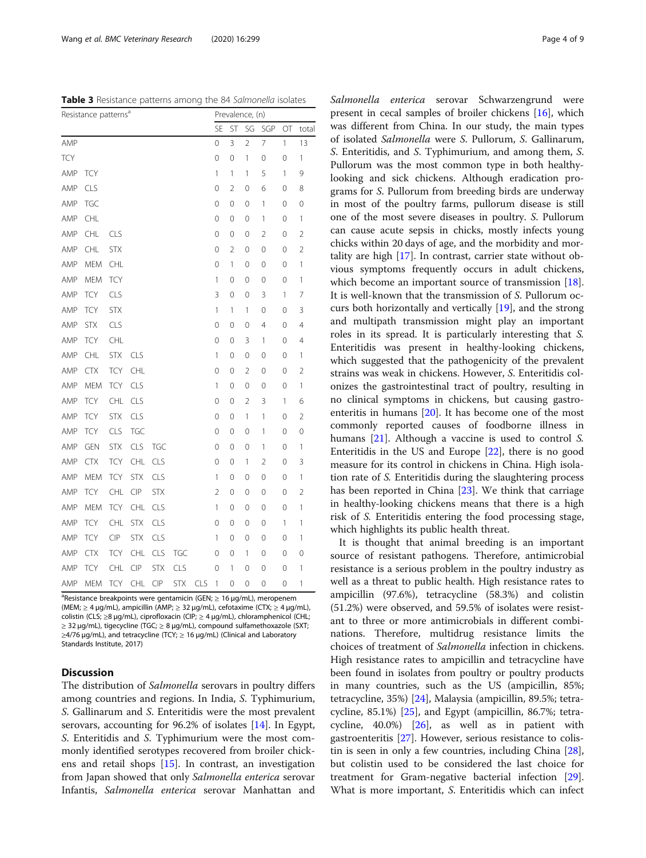<span id="page-3-0"></span>Table 3 Resistance patterns among the 84 Salmonella isolates

| Resistance patterns <sup>a</sup> |            |            |            |            |            | Prevalence, (n) |                |                |                |                |    |                |  |  |
|----------------------------------|------------|------------|------------|------------|------------|-----------------|----------------|----------------|----------------|----------------|----|----------------|--|--|
|                                  |            |            |            |            |            |                 | <b>SE</b>      | ST             | SG             | SGP            | OT | total          |  |  |
| AMP                              |            |            |            |            |            |                 | 0              | 3              | $\overline{2}$ | 7              | 1  | 13             |  |  |
| <b>TCY</b>                       |            |            |            |            |            |                 | $\mathbf 0$    | 0              | 1              | 0              | 0  | 1              |  |  |
| AMP                              | <b>TCY</b> |            |            |            |            |                 | 1              | 1              | 1              | 5              | 1  | 9              |  |  |
| AMP                              | CLS        |            |            |            |            |                 | 0              | $\overline{2}$ | 0              | 6              | 0  | 8              |  |  |
| AMP                              | TGC        |            |            |            |            |                 | $\mathbf 0$    | 0              | 0              | 1              | 0  | 0              |  |  |
| AMP                              | CHL        |            |            |            |            |                 | $\mathbf 0$    | 0              | 0              | 1              | 0  | 1              |  |  |
| AMP                              | CHL        | <b>CLS</b> |            |            |            |                 | $\mathbf 0$    | 0              | 0              | $\overline{2}$ | 0  | $\overline{2}$ |  |  |
| AMP                              | <b>CHL</b> | <b>STX</b> |            |            |            |                 | $\mathbf 0$    | 2              | 0              | 0              | 0  | $\overline{2}$ |  |  |
| AMP                              | <b>MEM</b> | CHL        |            |            |            |                 | $\mathbf 0$    | 1              | 0              | 0              | 0  | $\mathbf{1}$   |  |  |
| AMP                              | <b>MEM</b> | <b>TCY</b> |            |            |            |                 | 1              | 0              | 0              | 0              | 0  | 1              |  |  |
| AMP                              | <b>TCY</b> | CLS        |            |            |            |                 | 3              | 0              | 0              | 3              | 1  | $\overline{7}$ |  |  |
| AMP                              | <b>TCY</b> | <b>STX</b> |            |            |            |                 | 1              | 1              | 1              | 0              | 0  | 3              |  |  |
| AMP                              | <b>STX</b> | CLS        |            |            |            |                 | 0              | 0              | 0              | 4              | 0  | 4              |  |  |
| AMP                              | <b>TCY</b> | CHL        |            |            |            |                 | $\mathbf 0$    | 0              | 3              | 1              | 0  | 4              |  |  |
| AMP                              | CHL        | <b>STX</b> | CLS        |            |            |                 | 1              | 0              | 0              | 0              | 0  | 1              |  |  |
| AMP                              | <b>CTX</b> | <b>TCY</b> | CHL        |            |            |                 | $\mathbf 0$    | 0              | $\overline{2}$ | 0              | 0  | $\overline{2}$ |  |  |
| AMP                              | <b>MEM</b> | <b>TCY</b> | CLS        |            |            |                 | 1              | 0              | 0              | 0              | 0  | $\mathbf{1}$   |  |  |
| AMP                              | <b>TCY</b> | CHL        | CLS        |            |            |                 | $\mathbf 0$    | 0              | $\overline{2}$ | 3              | 1  | 6              |  |  |
| AMP                              | <b>TCY</b> | <b>STX</b> | CLS        |            |            |                 | 0              | 0              | 1              | 1              | 0  | $\overline{2}$ |  |  |
| AMP                              | <b>TCY</b> | <b>CLS</b> | <b>TGC</b> |            |            |                 | $\mathbf 0$    | 0              | 0              | 1              | 0  | 0              |  |  |
| AMP                              | GEN        | <b>STX</b> | CLS        | TGC        |            |                 | 0              | 0              | 0              | 1              | 0  | 1              |  |  |
| AMP                              | <b>CTX</b> | <b>TCY</b> | CHL        | CLS        |            |                 | 0              | 0              | 1              | 2              | 0  | 3              |  |  |
| AMP                              | <b>MEM</b> | <b>TCY</b> | <b>STX</b> | CLS        |            |                 | 1              | 0              | 0              | 0              | 0  | $\mathbf{1}$   |  |  |
| AMP                              | <b>TCY</b> | CHL        | CIP        | <b>STX</b> |            |                 | $\overline{2}$ | 0              | 0              | 0              | 0  | $\overline{2}$ |  |  |
| AMP                              | <b>MEM</b> | <b>TCY</b> | CHL        | CLS        |            |                 | 1              | $\mathbf 0$    | 0              | 0              | 0  | 1              |  |  |
| AMP                              | <b>TCY</b> | <b>CHL</b> | <b>STX</b> | <b>CLS</b> |            |                 | $\mathbf 0$    | 0              | 0              | 0              | 1  | $\mathbf{1}$   |  |  |
| AMP                              | <b>TCY</b> | <b>CIP</b> | <b>STX</b> | CLS        |            |                 | 1              | 0              | 0              | 0              | 0  | 1              |  |  |
| AMP                              | CTX        | <b>TCY</b> | CHL        | <b>CLS</b> | TGC        |                 | $\mathbf 0$    | 0              | 1              | 0              | 0  | 0              |  |  |
| AMP                              | <b>TCY</b> | CHL        | CIP        | <b>STX</b> | CLS        |                 | 0              | 1              | 0              | 0              | 0  | 1              |  |  |
| AMP                              | MEM        | <b>TCY</b> | CHL        | CIP        | <b>STX</b> | CLS             | 1              | 0              | 0              | 0              | 0  | 1              |  |  |

<sup>a</sup>Resistance breakpoints were gentamicin (GEN; ≥ 16 µg/mL), meropenem (MEM; ≥ 4 μg/mL), ampicillin (AMP; ≥ 32 μg/mL), cefotaxime (CTX; ≥ 4 μg/mL), colistin (CLS; ≥8 μg/mL), ciprofloxacin (CIP; ≥ 4 μg/mL), chloramphenicol (CHL; ≥ 32 μg/mL), tigecycline (TGC; ≥ 8 μg/mL), compound sulfamethoxazole (SXT; ≥4/76 μg/mL), and tetracycline (TCY; ≥ 16 μg/mL) (Clinical and Laboratory Standards Institute, 2017)

## **Discussion**

The distribution of Salmonella serovars in poultry differs among countries and regions. In India, S. Typhimurium, S. Gallinarum and S. Enteritidis were the most prevalent serovars, accounting for 96.2% of isolates [\[14](#page-7-0)]. In Egypt, S. Enteritidis and S. Typhimurium were the most commonly identified serotypes recovered from broiler chickens and retail shops [\[15](#page-7-0)]. In contrast, an investigation from Japan showed that only Salmonella enterica serovar Infantis, Salmonella enterica serovar Manhattan and

Salmonella enterica serovar Schwarzengrund were present in cecal samples of broiler chickens [\[16](#page-7-0)], which was different from China. In our study, the main types of isolated Salmonella were S. Pullorum, S. Gallinarum, S. Enteritidis, and S. Typhimurium, and among them, S. Pullorum was the most common type in both healthylooking and sick chickens. Although eradication programs for S. Pullorum from breeding birds are underway in most of the poultry farms, pullorum disease is still one of the most severe diseases in poultry. S. Pullorum can cause acute sepsis in chicks, mostly infects young chicks within 20 days of age, and the morbidity and mortality are high [[17](#page-7-0)]. In contrast, carrier state without obvious symptoms frequently occurs in adult chickens, which become an important source of transmission [\[18](#page-7-0)]. It is well-known that the transmission of S. Pullorum occurs both horizontally and vertically [\[19\]](#page-8-0), and the strong and multipath transmission might play an important roles in its spread. It is particularly interesting that S. Enteritidis was present in healthy-looking chickens, which suggested that the pathogenicity of the prevalent strains was weak in chickens. However, S. Enteritidis colonizes the gastrointestinal tract of poultry, resulting in no clinical symptoms in chickens, but causing gastroenteritis in humans [[20\]](#page-8-0). It has become one of the most commonly reported causes of foodborne illness in humans [[21\]](#page-8-0). Although a vaccine is used to control S. Enteritidis in the US and Europe [\[22\]](#page-8-0), there is no good measure for its control in chickens in China. High isolation rate of S. Enteritidis during the slaughtering process has been reported in China [\[23](#page-8-0)]. We think that carriage in healthy-looking chickens means that there is a high risk of S. Enteritidis entering the food processing stage, which highlights its public health threat.

It is thought that animal breeding is an important source of resistant pathogens. Therefore, antimicrobial resistance is a serious problem in the poultry industry as well as a threat to public health. High resistance rates to ampicillin (97.6%), tetracycline (58.3%) and colistin (51.2%) were observed, and 59.5% of isolates were resistant to three or more antimicrobials in different combinations. Therefore, multidrug resistance limits the choices of treatment of Salmonella infection in chickens. High resistance rates to ampicillin and tetracycline have been found in isolates from poultry or poultry products in many countries, such as the US (ampicillin, 85%; tetracycline, 35%) [[24](#page-8-0)], Malaysia (ampicillin, 89.5%; tetracycline, 85.1%) [[25](#page-8-0)], and Egypt (ampicillin, 86.7%; tetracycline, 40.0%) [[26\]](#page-8-0), as well as in patient with gastroenteritis [\[27](#page-8-0)]. However, serious resistance to colistin is seen in only a few countries, including China [\[28](#page-8-0)], but colistin used to be considered the last choice for treatment for Gram-negative bacterial infection [\[29](#page-8-0)]. What is more important, S. Enteritidis which can infect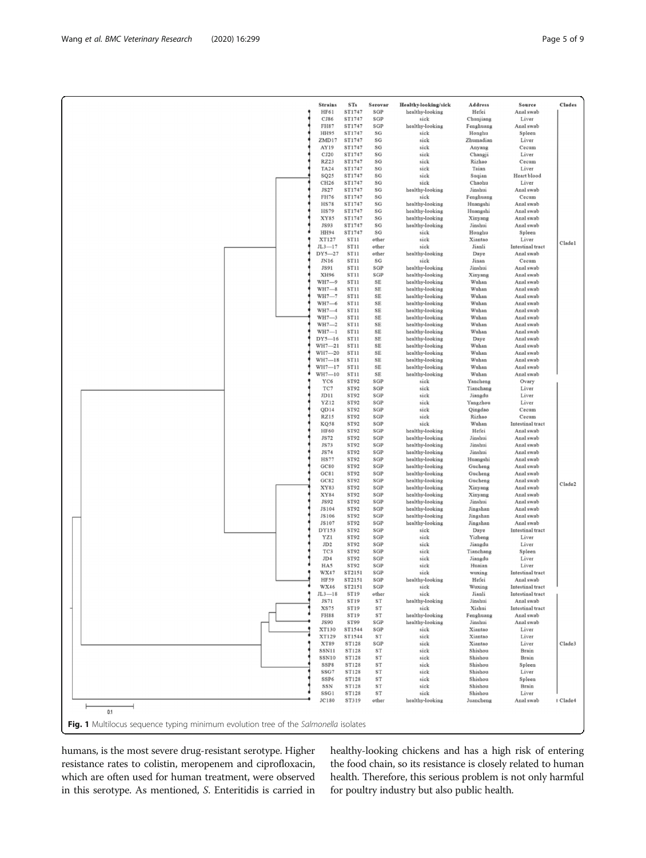<span id="page-4-0"></span>

| HF61<br>ST1747<br>SGP<br>healthy-looking<br>Hefei<br>Anal swab<br>CJ86<br>ST1747<br>SGP<br>sick<br>Chunjiang<br>Liver<br>FH87<br>ST1747<br>SGP<br>healthy-looking<br>Fenghuang<br>Anal swab<br>HH95<br>ST1747<br>sick<br>Honghu<br>Spleen<br>SG<br>ST1747<br>Liver<br>ZMD17<br>SG<br>sick<br>Zhumadian<br>AY19<br>ST1747<br>SG<br>sick<br>Anyang<br>Cecum<br>CJ20<br>ST1747<br>SG<br>Changji<br>Liver<br>sick<br><b>RZ23</b><br>ST1747<br>SG<br>sick<br>Rizhao<br>Cecum<br><b>TA24</b><br>ST1747<br>SG<br>sick<br>Taian<br>Liver<br>SQ25<br>SG<br>sick<br>Heart blood<br>ST1747<br>Suqian<br>CH <sub>26</sub><br>ST1747<br>SG<br>sick<br>Chaohu<br>Liver<br><b>JS27</b><br>ST1747<br>SG<br>healthy-looking<br>Jinshui<br>Anal swab<br>sick<br>FH76<br>ST1747<br>SG<br>Fenghuang<br>Cecum<br><b>HS78</b><br>ST1747<br>$\mathbf{S}\mathbf{G}$<br>healthy-looking<br>Huangshi<br>Anal swab<br><b>HS79</b><br>ST1747<br>SG<br>healthy-looking<br>Huangshi<br>Anal swab<br>XY85<br>ST1747<br>SG<br>healthy-looking<br>Anal swab<br>Xinyang<br>JS93<br>ST1747<br>SG<br>healthy-looking<br>Anal swab<br>Jinshui<br><b>HH94</b><br>ST1747<br>$\mathbf{S}\mathbf{G}$<br>Spleen<br>sick<br>Honghu<br>XT127<br>ST11<br>sick<br>other<br>Xiantao<br>Liver<br>Cladel<br>$JL3 - 17$<br><b>ST11</b><br>Intestinal tract<br>other<br>sick<br>Jianli<br>DY5-27<br>ST11<br>healthy-looking<br>Anal swab<br>other<br>Daye<br>ST11<br>JN16<br>SG<br>sick<br>Jinan<br>Cecum<br>ST11<br>JS91<br>SGP<br>healthy-looking<br>Jinshui<br>Anal swab<br>XH96<br>ST11<br>SGP<br>healthy-looking<br>Xinyang<br>Anal swab<br>WH7-9<br>ST11<br>SE<br>healthy-looking<br>Wuhan<br>Anal swab<br>$WH7 - 8$<br>ST11<br>SE<br>healthy-looking<br>Wuhan<br>Anal swab<br>$WH7 - 7$<br>ST11<br>SE<br>healthy-looking<br>Wuhan<br>Anal swab<br>WH7-6<br>ST <sub>11</sub><br>SE<br>healthy-looking<br>Wuhan<br>Anal swab<br>$WH7 - 4$<br>ST11<br>$\rm SE$<br>healthy-looking<br>Wuhan<br>Anal swab<br>$WH7 - 3$<br>ST <sub>11</sub><br>SE<br>healthy-looking<br>Wuhan<br>Anal swab<br>$WH7 - 2$<br>ST <sub>11</sub><br>SE<br>healthy-looking<br>Wuhan<br>Anal swab<br>$WH7 - 1$<br>ST11<br>$\rm SE$<br>healthy-looking<br>Wuhan<br>Anal swab<br>$DY5-16$<br>ST11<br>SE<br>Daye<br>Anal swab<br>healthy-looking<br>$WH7 - 21$<br>ST11<br>$\rm SE$<br>healthy-looking<br>Wuhan<br>Anal swab<br>WH7-20<br>ST <sub>11</sub><br>SE<br>Wuhan<br>healthy-looking<br>Anal swab<br>$WH7 - 18$<br>ST <sub>11</sub><br>SE<br>Wuhan<br>healthy-looking<br>Anal swab<br>$WH7 - 17$<br>ST11<br>$\rm SE$<br>Wuhan<br>healthy-looking<br>Anal swab<br>$WH7 - 10$<br>ST11<br>SE<br>healthy-looking<br>Wuhan<br>Anal swab<br>YC6<br>ST92<br>SGP<br>sick<br>Yancheng<br>Ovary<br>TC7<br>ST92<br>SGP<br>sick<br>Tianchang<br>Liver<br>JD11<br>ST92<br>SGP<br>Liver<br>sick<br>Jiangdu<br>YZ12<br>ST92<br>SGP<br>sick<br>Yangzhou<br>Liver<br>QD14<br>ST92<br>SGP<br>sick<br>Qingdao<br>Cecum<br><b>RZ15</b><br>ST92<br>SGP<br>sick<br>Rizhao<br>Cecum<br><b>KQ58</b><br>ST92<br>SGP<br>sick<br>Wuhan<br>Intestinal tract<br><b>HF60</b><br>ST92<br>SGP<br>healthy-looking<br>Hefei<br>Anal swab<br>ST92<br><b>JS72</b><br>SGP<br>healthy-looking<br>Jinshui<br>Anal swab<br><b>JS73</b><br>ST92<br>SGP<br>healthy-looking<br>Jinshui<br>Anal swab<br><b>JS74</b><br>ST92<br>SGP<br>healthy-looking<br>Jinshui<br>Anal swab<br><b>HS77</b><br>ST92<br>SGP<br>healthy-looking<br>Huangshi<br>Anal swab<br>GC80<br>ST92<br>SGP<br>Anal swab<br>healthy-looking<br>Gucheng<br>GC81<br>ST92<br>SGP<br>healthy-looking<br>Gucheng<br>Anal swab<br>GC82<br>ST92<br>SGP<br>healthy-looking<br>Gucheng<br>Anal swab<br>Clade2<br>XY83<br>ST92<br>SGP<br>healthy-looking<br>Xinyang<br>Anal swab<br>ST92<br>XY84<br>SGP<br>healthy-looking<br>Anal swab<br>Xinyang<br><b>JS92</b><br>ST92<br>SGP<br>healthy-looking<br>Jinshui<br>Anal swab<br>JS104<br>ST92<br>SGP<br>healthy-looking<br>Jingshan<br>Anal swab<br><b>JS106</b><br>ST92<br>SGP<br>healthy-looking<br>Jingshan<br>Anal swab<br>JS107<br>ST92<br>SGP<br>healthy-looking<br>Jingshan<br>Anal swab<br>DY153<br>ST92<br>SGP<br>sick<br>Daye<br>Intestinal tract<br>ST92<br>SGP<br>sick<br>Yizheng<br>Liver<br>YZ1<br>JD2<br>ST92<br>SGP<br>Jiangdu<br>Liver<br>sick<br>TC3<br>ST92<br>SGP<br>Tianchang<br>Spleen<br>sick<br>JD4<br><b>ST92</b><br>SGP<br>Liver<br>sick<br>Jiangdu<br>HA5<br>ST92<br>SGP<br>sick<br>Huaian<br>Liver<br>WX47<br>ST2151<br>SGP<br>sick<br>Intestinal tract<br>wuxing<br>HF59<br>ST2151<br>SGP<br>healthy-looking<br>Hefei<br>Anal swab<br>WX46<br>ST2151<br>SGP<br>Wuxing<br>Intestinal tract<br>sick<br><b>ST19</b><br>Jianli<br>$JL3 - 18$<br>other<br>Intestinal tract<br>sick<br>JS71<br>ST19<br>ST<br>healthy-looking<br>Jinshui<br>Anal swab<br><b>XS75</b><br><b>ST19</b><br>ST<br>sick<br>Xishui<br><b>Intestinal</b> tract<br><b>FH88</b><br><b>ST19</b><br>Anal swab<br>ST<br>healthy-looking<br>Fenghuang<br><b>JS90</b><br>ST99<br>SGP<br>healthy-looking<br>Jinshui<br>Anal swab<br>XT130<br>ST1544<br>SGP<br>sick<br>Xiantao<br>Liver<br>ST1544<br>XT129<br>ST<br>Xiantao<br>Liver<br>sick<br>XT89<br><b>ST128</b><br>SGP<br>sick<br>Xiantao<br>Liver<br>Clade3<br>SSN11<br><b>ST128</b><br>ST<br>sick<br>Shishou<br>Brain<br>SSN10<br>ST128<br>ST<br>Brain<br>sick<br>Shishou<br>SSP8<br><b>ST128</b><br>ST<br>Spleen<br>sick<br>Shishou<br>SSG7<br><b>ST128</b><br>ST<br>Shishou<br>Liver<br>sick<br>ST128<br>ST<br>SSP6<br>sick<br>Shishou<br>Spleen<br><b>ST128</b><br>SSN<br>ST<br>sick<br>Shishou<br>Brain<br>SSG1<br><b>ST128</b><br>ST<br>sick<br>Shishou<br>Liver<br><b>JC180</b><br>ST319<br>other<br>healthy-looking<br>Juancheng<br>Anal swab<br>I Clade4<br>0.1<br>Fig. 1 Multilocus sequence typing minimum evolution tree of the Salmonella isolates | <b>Strains</b> | <b>STs</b> | Serovar | Healthy-looking/sick | Address | Source | <b>Clades</b> |
|---------------------------------------------------------------------------------------------------------------------------------------------------------------------------------------------------------------------------------------------------------------------------------------------------------------------------------------------------------------------------------------------------------------------------------------------------------------------------------------------------------------------------------------------------------------------------------------------------------------------------------------------------------------------------------------------------------------------------------------------------------------------------------------------------------------------------------------------------------------------------------------------------------------------------------------------------------------------------------------------------------------------------------------------------------------------------------------------------------------------------------------------------------------------------------------------------------------------------------------------------------------------------------------------------------------------------------------------------------------------------------------------------------------------------------------------------------------------------------------------------------------------------------------------------------------------------------------------------------------------------------------------------------------------------------------------------------------------------------------------------------------------------------------------------------------------------------------------------------------------------------------------------------------------------------------------------------------------------------------------------------------------------------------------------------------------------------------------------------------------------------------------------------------------------------------------------------------------------------------------------------------------------------------------------------------------------------------------------------------------------------------------------------------------------------------------------------------------------------------------------------------------------------------------------------------------------------------------------------------------------------------------------------------------------------------------------------------------------------------------------------------------------------------------------------------------------------------------------------------------------------------------------------------------------------------------------------------------------------------------------------------------------------------------------------------------------------------------------------------------------------------------------------------------------------------------------------------------------------------------------------------------------------------------------------------------------------------------------------------------------------------------------------------------------------------------------------------------------------------------------------------------------------------------------------------------------------------------------------------------------------------------------------------------------------------------------------------------------------------------------------------------------------------------------------------------------------------------------------------------------------------------------------------------------------------------------------------------------------------------------------------------------------------------------------------------------------------------------------------------------------------------------------------------------------------------------------------------------------------------------------------------------------------------------------------------------------------------------------------------------------------------------------------------------------------------------------------------------------------------------------------------------------------------------------------------------------------------------------------------------------------------------------------------------------------------------------------------------------------------------------------------------------------------------------------------------------------------------------------------------------------------------------------------------------------------------------------------------------------------------------------------------------------------------------------------------------------------------------------------------------------------------------------------------------------------------------------------------------------------------------------------------------------------------------------------------------------------------------------------------------------------------------------------------------------------------------------------------------------------------------------------------------------------------------------------------------------------------------------------------------------------------------------------------------------------------------------------------------------------------------------------------------------------------|----------------|------------|---------|----------------------|---------|--------|---------------|
|                                                                                                                                                                                                                                                                                                                                                                                                                                                                                                                                                                                                                                                                                                                                                                                                                                                                                                                                                                                                                                                                                                                                                                                                                                                                                                                                                                                                                                                                                                                                                                                                                                                                                                                                                                                                                                                                                                                                                                                                                                                                                                                                                                                                                                                                                                                                                                                                                                                                                                                                                                                                                                                                                                                                                                                                                                                                                                                                                                                                                                                                                                                                                                                                                                                                                                                                                                                                                                                                                                                                                                                                                                                                                                                                                                                                                                                                                                                                                                                                                                                                                                                                                                                                                                                                                                                                                                                                                                                                                                                                                                                                                                                                                                                                                                                                                                                                                                                                                                                                                                                                                                                                                                                                                                                                                                                                                                                                                                                                                                                                                                                                                                                                                                                                                                                                   |                |            |         |                      |         |        |               |
|                                                                                                                                                                                                                                                                                                                                                                                                                                                                                                                                                                                                                                                                                                                                                                                                                                                                                                                                                                                                                                                                                                                                                                                                                                                                                                                                                                                                                                                                                                                                                                                                                                                                                                                                                                                                                                                                                                                                                                                                                                                                                                                                                                                                                                                                                                                                                                                                                                                                                                                                                                                                                                                                                                                                                                                                                                                                                                                                                                                                                                                                                                                                                                                                                                                                                                                                                                                                                                                                                                                                                                                                                                                                                                                                                                                                                                                                                                                                                                                                                                                                                                                                                                                                                                                                                                                                                                                                                                                                                                                                                                                                                                                                                                                                                                                                                                                                                                                                                                                                                                                                                                                                                                                                                                                                                                                                                                                                                                                                                                                                                                                                                                                                                                                                                                                                   |                |            |         |                      |         |        |               |
|                                                                                                                                                                                                                                                                                                                                                                                                                                                                                                                                                                                                                                                                                                                                                                                                                                                                                                                                                                                                                                                                                                                                                                                                                                                                                                                                                                                                                                                                                                                                                                                                                                                                                                                                                                                                                                                                                                                                                                                                                                                                                                                                                                                                                                                                                                                                                                                                                                                                                                                                                                                                                                                                                                                                                                                                                                                                                                                                                                                                                                                                                                                                                                                                                                                                                                                                                                                                                                                                                                                                                                                                                                                                                                                                                                                                                                                                                                                                                                                                                                                                                                                                                                                                                                                                                                                                                                                                                                                                                                                                                                                                                                                                                                                                                                                                                                                                                                                                                                                                                                                                                                                                                                                                                                                                                                                                                                                                                                                                                                                                                                                                                                                                                                                                                                                                   |                |            |         |                      |         |        |               |
|                                                                                                                                                                                                                                                                                                                                                                                                                                                                                                                                                                                                                                                                                                                                                                                                                                                                                                                                                                                                                                                                                                                                                                                                                                                                                                                                                                                                                                                                                                                                                                                                                                                                                                                                                                                                                                                                                                                                                                                                                                                                                                                                                                                                                                                                                                                                                                                                                                                                                                                                                                                                                                                                                                                                                                                                                                                                                                                                                                                                                                                                                                                                                                                                                                                                                                                                                                                                                                                                                                                                                                                                                                                                                                                                                                                                                                                                                                                                                                                                                                                                                                                                                                                                                                                                                                                                                                                                                                                                                                                                                                                                                                                                                                                                                                                                                                                                                                                                                                                                                                                                                                                                                                                                                                                                                                                                                                                                                                                                                                                                                                                                                                                                                                                                                                                                   |                |            |         |                      |         |        |               |
|                                                                                                                                                                                                                                                                                                                                                                                                                                                                                                                                                                                                                                                                                                                                                                                                                                                                                                                                                                                                                                                                                                                                                                                                                                                                                                                                                                                                                                                                                                                                                                                                                                                                                                                                                                                                                                                                                                                                                                                                                                                                                                                                                                                                                                                                                                                                                                                                                                                                                                                                                                                                                                                                                                                                                                                                                                                                                                                                                                                                                                                                                                                                                                                                                                                                                                                                                                                                                                                                                                                                                                                                                                                                                                                                                                                                                                                                                                                                                                                                                                                                                                                                                                                                                                                                                                                                                                                                                                                                                                                                                                                                                                                                                                                                                                                                                                                                                                                                                                                                                                                                                                                                                                                                                                                                                                                                                                                                                                                                                                                                                                                                                                                                                                                                                                                                   |                |            |         |                      |         |        |               |
|                                                                                                                                                                                                                                                                                                                                                                                                                                                                                                                                                                                                                                                                                                                                                                                                                                                                                                                                                                                                                                                                                                                                                                                                                                                                                                                                                                                                                                                                                                                                                                                                                                                                                                                                                                                                                                                                                                                                                                                                                                                                                                                                                                                                                                                                                                                                                                                                                                                                                                                                                                                                                                                                                                                                                                                                                                                                                                                                                                                                                                                                                                                                                                                                                                                                                                                                                                                                                                                                                                                                                                                                                                                                                                                                                                                                                                                                                                                                                                                                                                                                                                                                                                                                                                                                                                                                                                                                                                                                                                                                                                                                                                                                                                                                                                                                                                                                                                                                                                                                                                                                                                                                                                                                                                                                                                                                                                                                                                                                                                                                                                                                                                                                                                                                                                                                   |                |            |         |                      |         |        |               |
|                                                                                                                                                                                                                                                                                                                                                                                                                                                                                                                                                                                                                                                                                                                                                                                                                                                                                                                                                                                                                                                                                                                                                                                                                                                                                                                                                                                                                                                                                                                                                                                                                                                                                                                                                                                                                                                                                                                                                                                                                                                                                                                                                                                                                                                                                                                                                                                                                                                                                                                                                                                                                                                                                                                                                                                                                                                                                                                                                                                                                                                                                                                                                                                                                                                                                                                                                                                                                                                                                                                                                                                                                                                                                                                                                                                                                                                                                                                                                                                                                                                                                                                                                                                                                                                                                                                                                                                                                                                                                                                                                                                                                                                                                                                                                                                                                                                                                                                                                                                                                                                                                                                                                                                                                                                                                                                                                                                                                                                                                                                                                                                                                                                                                                                                                                                                   |                |            |         |                      |         |        |               |
|                                                                                                                                                                                                                                                                                                                                                                                                                                                                                                                                                                                                                                                                                                                                                                                                                                                                                                                                                                                                                                                                                                                                                                                                                                                                                                                                                                                                                                                                                                                                                                                                                                                                                                                                                                                                                                                                                                                                                                                                                                                                                                                                                                                                                                                                                                                                                                                                                                                                                                                                                                                                                                                                                                                                                                                                                                                                                                                                                                                                                                                                                                                                                                                                                                                                                                                                                                                                                                                                                                                                                                                                                                                                                                                                                                                                                                                                                                                                                                                                                                                                                                                                                                                                                                                                                                                                                                                                                                                                                                                                                                                                                                                                                                                                                                                                                                                                                                                                                                                                                                                                                                                                                                                                                                                                                                                                                                                                                                                                                                                                                                                                                                                                                                                                                                                                   |                |            |         |                      |         |        |               |
|                                                                                                                                                                                                                                                                                                                                                                                                                                                                                                                                                                                                                                                                                                                                                                                                                                                                                                                                                                                                                                                                                                                                                                                                                                                                                                                                                                                                                                                                                                                                                                                                                                                                                                                                                                                                                                                                                                                                                                                                                                                                                                                                                                                                                                                                                                                                                                                                                                                                                                                                                                                                                                                                                                                                                                                                                                                                                                                                                                                                                                                                                                                                                                                                                                                                                                                                                                                                                                                                                                                                                                                                                                                                                                                                                                                                                                                                                                                                                                                                                                                                                                                                                                                                                                                                                                                                                                                                                                                                                                                                                                                                                                                                                                                                                                                                                                                                                                                                                                                                                                                                                                                                                                                                                                                                                                                                                                                                                                                                                                                                                                                                                                                                                                                                                                                                   |                |            |         |                      |         |        |               |
|                                                                                                                                                                                                                                                                                                                                                                                                                                                                                                                                                                                                                                                                                                                                                                                                                                                                                                                                                                                                                                                                                                                                                                                                                                                                                                                                                                                                                                                                                                                                                                                                                                                                                                                                                                                                                                                                                                                                                                                                                                                                                                                                                                                                                                                                                                                                                                                                                                                                                                                                                                                                                                                                                                                                                                                                                                                                                                                                                                                                                                                                                                                                                                                                                                                                                                                                                                                                                                                                                                                                                                                                                                                                                                                                                                                                                                                                                                                                                                                                                                                                                                                                                                                                                                                                                                                                                                                                                                                                                                                                                                                                                                                                                                                                                                                                                                                                                                                                                                                                                                                                                                                                                                                                                                                                                                                                                                                                                                                                                                                                                                                                                                                                                                                                                                                                   |                |            |         |                      |         |        |               |
|                                                                                                                                                                                                                                                                                                                                                                                                                                                                                                                                                                                                                                                                                                                                                                                                                                                                                                                                                                                                                                                                                                                                                                                                                                                                                                                                                                                                                                                                                                                                                                                                                                                                                                                                                                                                                                                                                                                                                                                                                                                                                                                                                                                                                                                                                                                                                                                                                                                                                                                                                                                                                                                                                                                                                                                                                                                                                                                                                                                                                                                                                                                                                                                                                                                                                                                                                                                                                                                                                                                                                                                                                                                                                                                                                                                                                                                                                                                                                                                                                                                                                                                                                                                                                                                                                                                                                                                                                                                                                                                                                                                                                                                                                                                                                                                                                                                                                                                                                                                                                                                                                                                                                                                                                                                                                                                                                                                                                                                                                                                                                                                                                                                                                                                                                                                                   |                |            |         |                      |         |        |               |
|                                                                                                                                                                                                                                                                                                                                                                                                                                                                                                                                                                                                                                                                                                                                                                                                                                                                                                                                                                                                                                                                                                                                                                                                                                                                                                                                                                                                                                                                                                                                                                                                                                                                                                                                                                                                                                                                                                                                                                                                                                                                                                                                                                                                                                                                                                                                                                                                                                                                                                                                                                                                                                                                                                                                                                                                                                                                                                                                                                                                                                                                                                                                                                                                                                                                                                                                                                                                                                                                                                                                                                                                                                                                                                                                                                                                                                                                                                                                                                                                                                                                                                                                                                                                                                                                                                                                                                                                                                                                                                                                                                                                                                                                                                                                                                                                                                                                                                                                                                                                                                                                                                                                                                                                                                                                                                                                                                                                                                                                                                                                                                                                                                                                                                                                                                                                   |                |            |         |                      |         |        |               |
|                                                                                                                                                                                                                                                                                                                                                                                                                                                                                                                                                                                                                                                                                                                                                                                                                                                                                                                                                                                                                                                                                                                                                                                                                                                                                                                                                                                                                                                                                                                                                                                                                                                                                                                                                                                                                                                                                                                                                                                                                                                                                                                                                                                                                                                                                                                                                                                                                                                                                                                                                                                                                                                                                                                                                                                                                                                                                                                                                                                                                                                                                                                                                                                                                                                                                                                                                                                                                                                                                                                                                                                                                                                                                                                                                                                                                                                                                                                                                                                                                                                                                                                                                                                                                                                                                                                                                                                                                                                                                                                                                                                                                                                                                                                                                                                                                                                                                                                                                                                                                                                                                                                                                                                                                                                                                                                                                                                                                                                                                                                                                                                                                                                                                                                                                                                                   |                |            |         |                      |         |        |               |
|                                                                                                                                                                                                                                                                                                                                                                                                                                                                                                                                                                                                                                                                                                                                                                                                                                                                                                                                                                                                                                                                                                                                                                                                                                                                                                                                                                                                                                                                                                                                                                                                                                                                                                                                                                                                                                                                                                                                                                                                                                                                                                                                                                                                                                                                                                                                                                                                                                                                                                                                                                                                                                                                                                                                                                                                                                                                                                                                                                                                                                                                                                                                                                                                                                                                                                                                                                                                                                                                                                                                                                                                                                                                                                                                                                                                                                                                                                                                                                                                                                                                                                                                                                                                                                                                                                                                                                                                                                                                                                                                                                                                                                                                                                                                                                                                                                                                                                                                                                                                                                                                                                                                                                                                                                                                                                                                                                                                                                                                                                                                                                                                                                                                                                                                                                                                   |                |            |         |                      |         |        |               |
|                                                                                                                                                                                                                                                                                                                                                                                                                                                                                                                                                                                                                                                                                                                                                                                                                                                                                                                                                                                                                                                                                                                                                                                                                                                                                                                                                                                                                                                                                                                                                                                                                                                                                                                                                                                                                                                                                                                                                                                                                                                                                                                                                                                                                                                                                                                                                                                                                                                                                                                                                                                                                                                                                                                                                                                                                                                                                                                                                                                                                                                                                                                                                                                                                                                                                                                                                                                                                                                                                                                                                                                                                                                                                                                                                                                                                                                                                                                                                                                                                                                                                                                                                                                                                                                                                                                                                                                                                                                                                                                                                                                                                                                                                                                                                                                                                                                                                                                                                                                                                                                                                                                                                                                                                                                                                                                                                                                                                                                                                                                                                                                                                                                                                                                                                                                                   |                |            |         |                      |         |        |               |
|                                                                                                                                                                                                                                                                                                                                                                                                                                                                                                                                                                                                                                                                                                                                                                                                                                                                                                                                                                                                                                                                                                                                                                                                                                                                                                                                                                                                                                                                                                                                                                                                                                                                                                                                                                                                                                                                                                                                                                                                                                                                                                                                                                                                                                                                                                                                                                                                                                                                                                                                                                                                                                                                                                                                                                                                                                                                                                                                                                                                                                                                                                                                                                                                                                                                                                                                                                                                                                                                                                                                                                                                                                                                                                                                                                                                                                                                                                                                                                                                                                                                                                                                                                                                                                                                                                                                                                                                                                                                                                                                                                                                                                                                                                                                                                                                                                                                                                                                                                                                                                                                                                                                                                                                                                                                                                                                                                                                                                                                                                                                                                                                                                                                                                                                                                                                   |                |            |         |                      |         |        |               |
|                                                                                                                                                                                                                                                                                                                                                                                                                                                                                                                                                                                                                                                                                                                                                                                                                                                                                                                                                                                                                                                                                                                                                                                                                                                                                                                                                                                                                                                                                                                                                                                                                                                                                                                                                                                                                                                                                                                                                                                                                                                                                                                                                                                                                                                                                                                                                                                                                                                                                                                                                                                                                                                                                                                                                                                                                                                                                                                                                                                                                                                                                                                                                                                                                                                                                                                                                                                                                                                                                                                                                                                                                                                                                                                                                                                                                                                                                                                                                                                                                                                                                                                                                                                                                                                                                                                                                                                                                                                                                                                                                                                                                                                                                                                                                                                                                                                                                                                                                                                                                                                                                                                                                                                                                                                                                                                                                                                                                                                                                                                                                                                                                                                                                                                                                                                                   |                |            |         |                      |         |        |               |
|                                                                                                                                                                                                                                                                                                                                                                                                                                                                                                                                                                                                                                                                                                                                                                                                                                                                                                                                                                                                                                                                                                                                                                                                                                                                                                                                                                                                                                                                                                                                                                                                                                                                                                                                                                                                                                                                                                                                                                                                                                                                                                                                                                                                                                                                                                                                                                                                                                                                                                                                                                                                                                                                                                                                                                                                                                                                                                                                                                                                                                                                                                                                                                                                                                                                                                                                                                                                                                                                                                                                                                                                                                                                                                                                                                                                                                                                                                                                                                                                                                                                                                                                                                                                                                                                                                                                                                                                                                                                                                                                                                                                                                                                                                                                                                                                                                                                                                                                                                                                                                                                                                                                                                                                                                                                                                                                                                                                                                                                                                                                                                                                                                                                                                                                                                                                   |                |            |         |                      |         |        |               |
|                                                                                                                                                                                                                                                                                                                                                                                                                                                                                                                                                                                                                                                                                                                                                                                                                                                                                                                                                                                                                                                                                                                                                                                                                                                                                                                                                                                                                                                                                                                                                                                                                                                                                                                                                                                                                                                                                                                                                                                                                                                                                                                                                                                                                                                                                                                                                                                                                                                                                                                                                                                                                                                                                                                                                                                                                                                                                                                                                                                                                                                                                                                                                                                                                                                                                                                                                                                                                                                                                                                                                                                                                                                                                                                                                                                                                                                                                                                                                                                                                                                                                                                                                                                                                                                                                                                                                                                                                                                                                                                                                                                                                                                                                                                                                                                                                                                                                                                                                                                                                                                                                                                                                                                                                                                                                                                                                                                                                                                                                                                                                                                                                                                                                                                                                                                                   |                |            |         |                      |         |        |               |
|                                                                                                                                                                                                                                                                                                                                                                                                                                                                                                                                                                                                                                                                                                                                                                                                                                                                                                                                                                                                                                                                                                                                                                                                                                                                                                                                                                                                                                                                                                                                                                                                                                                                                                                                                                                                                                                                                                                                                                                                                                                                                                                                                                                                                                                                                                                                                                                                                                                                                                                                                                                                                                                                                                                                                                                                                                                                                                                                                                                                                                                                                                                                                                                                                                                                                                                                                                                                                                                                                                                                                                                                                                                                                                                                                                                                                                                                                                                                                                                                                                                                                                                                                                                                                                                                                                                                                                                                                                                                                                                                                                                                                                                                                                                                                                                                                                                                                                                                                                                                                                                                                                                                                                                                                                                                                                                                                                                                                                                                                                                                                                                                                                                                                                                                                                                                   |                |            |         |                      |         |        |               |
|                                                                                                                                                                                                                                                                                                                                                                                                                                                                                                                                                                                                                                                                                                                                                                                                                                                                                                                                                                                                                                                                                                                                                                                                                                                                                                                                                                                                                                                                                                                                                                                                                                                                                                                                                                                                                                                                                                                                                                                                                                                                                                                                                                                                                                                                                                                                                                                                                                                                                                                                                                                                                                                                                                                                                                                                                                                                                                                                                                                                                                                                                                                                                                                                                                                                                                                                                                                                                                                                                                                                                                                                                                                                                                                                                                                                                                                                                                                                                                                                                                                                                                                                                                                                                                                                                                                                                                                                                                                                                                                                                                                                                                                                                                                                                                                                                                                                                                                                                                                                                                                                                                                                                                                                                                                                                                                                                                                                                                                                                                                                                                                                                                                                                                                                                                                                   |                |            |         |                      |         |        |               |
|                                                                                                                                                                                                                                                                                                                                                                                                                                                                                                                                                                                                                                                                                                                                                                                                                                                                                                                                                                                                                                                                                                                                                                                                                                                                                                                                                                                                                                                                                                                                                                                                                                                                                                                                                                                                                                                                                                                                                                                                                                                                                                                                                                                                                                                                                                                                                                                                                                                                                                                                                                                                                                                                                                                                                                                                                                                                                                                                                                                                                                                                                                                                                                                                                                                                                                                                                                                                                                                                                                                                                                                                                                                                                                                                                                                                                                                                                                                                                                                                                                                                                                                                                                                                                                                                                                                                                                                                                                                                                                                                                                                                                                                                                                                                                                                                                                                                                                                                                                                                                                                                                                                                                                                                                                                                                                                                                                                                                                                                                                                                                                                                                                                                                                                                                                                                   |                |            |         |                      |         |        |               |
|                                                                                                                                                                                                                                                                                                                                                                                                                                                                                                                                                                                                                                                                                                                                                                                                                                                                                                                                                                                                                                                                                                                                                                                                                                                                                                                                                                                                                                                                                                                                                                                                                                                                                                                                                                                                                                                                                                                                                                                                                                                                                                                                                                                                                                                                                                                                                                                                                                                                                                                                                                                                                                                                                                                                                                                                                                                                                                                                                                                                                                                                                                                                                                                                                                                                                                                                                                                                                                                                                                                                                                                                                                                                                                                                                                                                                                                                                                                                                                                                                                                                                                                                                                                                                                                                                                                                                                                                                                                                                                                                                                                                                                                                                                                                                                                                                                                                                                                                                                                                                                                                                                                                                                                                                                                                                                                                                                                                                                                                                                                                                                                                                                                                                                                                                                                                   |                |            |         |                      |         |        |               |
|                                                                                                                                                                                                                                                                                                                                                                                                                                                                                                                                                                                                                                                                                                                                                                                                                                                                                                                                                                                                                                                                                                                                                                                                                                                                                                                                                                                                                                                                                                                                                                                                                                                                                                                                                                                                                                                                                                                                                                                                                                                                                                                                                                                                                                                                                                                                                                                                                                                                                                                                                                                                                                                                                                                                                                                                                                                                                                                                                                                                                                                                                                                                                                                                                                                                                                                                                                                                                                                                                                                                                                                                                                                                                                                                                                                                                                                                                                                                                                                                                                                                                                                                                                                                                                                                                                                                                                                                                                                                                                                                                                                                                                                                                                                                                                                                                                                                                                                                                                                                                                                                                                                                                                                                                                                                                                                                                                                                                                                                                                                                                                                                                                                                                                                                                                                                   |                |            |         |                      |         |        |               |
|                                                                                                                                                                                                                                                                                                                                                                                                                                                                                                                                                                                                                                                                                                                                                                                                                                                                                                                                                                                                                                                                                                                                                                                                                                                                                                                                                                                                                                                                                                                                                                                                                                                                                                                                                                                                                                                                                                                                                                                                                                                                                                                                                                                                                                                                                                                                                                                                                                                                                                                                                                                                                                                                                                                                                                                                                                                                                                                                                                                                                                                                                                                                                                                                                                                                                                                                                                                                                                                                                                                                                                                                                                                                                                                                                                                                                                                                                                                                                                                                                                                                                                                                                                                                                                                                                                                                                                                                                                                                                                                                                                                                                                                                                                                                                                                                                                                                                                                                                                                                                                                                                                                                                                                                                                                                                                                                                                                                                                                                                                                                                                                                                                                                                                                                                                                                   |                |            |         |                      |         |        |               |
|                                                                                                                                                                                                                                                                                                                                                                                                                                                                                                                                                                                                                                                                                                                                                                                                                                                                                                                                                                                                                                                                                                                                                                                                                                                                                                                                                                                                                                                                                                                                                                                                                                                                                                                                                                                                                                                                                                                                                                                                                                                                                                                                                                                                                                                                                                                                                                                                                                                                                                                                                                                                                                                                                                                                                                                                                                                                                                                                                                                                                                                                                                                                                                                                                                                                                                                                                                                                                                                                                                                                                                                                                                                                                                                                                                                                                                                                                                                                                                                                                                                                                                                                                                                                                                                                                                                                                                                                                                                                                                                                                                                                                                                                                                                                                                                                                                                                                                                                                                                                                                                                                                                                                                                                                                                                                                                                                                                                                                                                                                                                                                                                                                                                                                                                                                                                   |                |            |         |                      |         |        |               |
|                                                                                                                                                                                                                                                                                                                                                                                                                                                                                                                                                                                                                                                                                                                                                                                                                                                                                                                                                                                                                                                                                                                                                                                                                                                                                                                                                                                                                                                                                                                                                                                                                                                                                                                                                                                                                                                                                                                                                                                                                                                                                                                                                                                                                                                                                                                                                                                                                                                                                                                                                                                                                                                                                                                                                                                                                                                                                                                                                                                                                                                                                                                                                                                                                                                                                                                                                                                                                                                                                                                                                                                                                                                                                                                                                                                                                                                                                                                                                                                                                                                                                                                                                                                                                                                                                                                                                                                                                                                                                                                                                                                                                                                                                                                                                                                                                                                                                                                                                                                                                                                                                                                                                                                                                                                                                                                                                                                                                                                                                                                                                                                                                                                                                                                                                                                                   |                |            |         |                      |         |        |               |
|                                                                                                                                                                                                                                                                                                                                                                                                                                                                                                                                                                                                                                                                                                                                                                                                                                                                                                                                                                                                                                                                                                                                                                                                                                                                                                                                                                                                                                                                                                                                                                                                                                                                                                                                                                                                                                                                                                                                                                                                                                                                                                                                                                                                                                                                                                                                                                                                                                                                                                                                                                                                                                                                                                                                                                                                                                                                                                                                                                                                                                                                                                                                                                                                                                                                                                                                                                                                                                                                                                                                                                                                                                                                                                                                                                                                                                                                                                                                                                                                                                                                                                                                                                                                                                                                                                                                                                                                                                                                                                                                                                                                                                                                                                                                                                                                                                                                                                                                                                                                                                                                                                                                                                                                                                                                                                                                                                                                                                                                                                                                                                                                                                                                                                                                                                                                   |                |            |         |                      |         |        |               |
|                                                                                                                                                                                                                                                                                                                                                                                                                                                                                                                                                                                                                                                                                                                                                                                                                                                                                                                                                                                                                                                                                                                                                                                                                                                                                                                                                                                                                                                                                                                                                                                                                                                                                                                                                                                                                                                                                                                                                                                                                                                                                                                                                                                                                                                                                                                                                                                                                                                                                                                                                                                                                                                                                                                                                                                                                                                                                                                                                                                                                                                                                                                                                                                                                                                                                                                                                                                                                                                                                                                                                                                                                                                                                                                                                                                                                                                                                                                                                                                                                                                                                                                                                                                                                                                                                                                                                                                                                                                                                                                                                                                                                                                                                                                                                                                                                                                                                                                                                                                                                                                                                                                                                                                                                                                                                                                                                                                                                                                                                                                                                                                                                                                                                                                                                                                                   |                |            |         |                      |         |        |               |
|                                                                                                                                                                                                                                                                                                                                                                                                                                                                                                                                                                                                                                                                                                                                                                                                                                                                                                                                                                                                                                                                                                                                                                                                                                                                                                                                                                                                                                                                                                                                                                                                                                                                                                                                                                                                                                                                                                                                                                                                                                                                                                                                                                                                                                                                                                                                                                                                                                                                                                                                                                                                                                                                                                                                                                                                                                                                                                                                                                                                                                                                                                                                                                                                                                                                                                                                                                                                                                                                                                                                                                                                                                                                                                                                                                                                                                                                                                                                                                                                                                                                                                                                                                                                                                                                                                                                                                                                                                                                                                                                                                                                                                                                                                                                                                                                                                                                                                                                                                                                                                                                                                                                                                                                                                                                                                                                                                                                                                                                                                                                                                                                                                                                                                                                                                                                   |                |            |         |                      |         |        |               |
|                                                                                                                                                                                                                                                                                                                                                                                                                                                                                                                                                                                                                                                                                                                                                                                                                                                                                                                                                                                                                                                                                                                                                                                                                                                                                                                                                                                                                                                                                                                                                                                                                                                                                                                                                                                                                                                                                                                                                                                                                                                                                                                                                                                                                                                                                                                                                                                                                                                                                                                                                                                                                                                                                                                                                                                                                                                                                                                                                                                                                                                                                                                                                                                                                                                                                                                                                                                                                                                                                                                                                                                                                                                                                                                                                                                                                                                                                                                                                                                                                                                                                                                                                                                                                                                                                                                                                                                                                                                                                                                                                                                                                                                                                                                                                                                                                                                                                                                                                                                                                                                                                                                                                                                                                                                                                                                                                                                                                                                                                                                                                                                                                                                                                                                                                                                                   |                |            |         |                      |         |        |               |
|                                                                                                                                                                                                                                                                                                                                                                                                                                                                                                                                                                                                                                                                                                                                                                                                                                                                                                                                                                                                                                                                                                                                                                                                                                                                                                                                                                                                                                                                                                                                                                                                                                                                                                                                                                                                                                                                                                                                                                                                                                                                                                                                                                                                                                                                                                                                                                                                                                                                                                                                                                                                                                                                                                                                                                                                                                                                                                                                                                                                                                                                                                                                                                                                                                                                                                                                                                                                                                                                                                                                                                                                                                                                                                                                                                                                                                                                                                                                                                                                                                                                                                                                                                                                                                                                                                                                                                                                                                                                                                                                                                                                                                                                                                                                                                                                                                                                                                                                                                                                                                                                                                                                                                                                                                                                                                                                                                                                                                                                                                                                                                                                                                                                                                                                                                                                   |                |            |         |                      |         |        |               |
|                                                                                                                                                                                                                                                                                                                                                                                                                                                                                                                                                                                                                                                                                                                                                                                                                                                                                                                                                                                                                                                                                                                                                                                                                                                                                                                                                                                                                                                                                                                                                                                                                                                                                                                                                                                                                                                                                                                                                                                                                                                                                                                                                                                                                                                                                                                                                                                                                                                                                                                                                                                                                                                                                                                                                                                                                                                                                                                                                                                                                                                                                                                                                                                                                                                                                                                                                                                                                                                                                                                                                                                                                                                                                                                                                                                                                                                                                                                                                                                                                                                                                                                                                                                                                                                                                                                                                                                                                                                                                                                                                                                                                                                                                                                                                                                                                                                                                                                                                                                                                                                                                                                                                                                                                                                                                                                                                                                                                                                                                                                                                                                                                                                                                                                                                                                                   |                |            |         |                      |         |        |               |
|                                                                                                                                                                                                                                                                                                                                                                                                                                                                                                                                                                                                                                                                                                                                                                                                                                                                                                                                                                                                                                                                                                                                                                                                                                                                                                                                                                                                                                                                                                                                                                                                                                                                                                                                                                                                                                                                                                                                                                                                                                                                                                                                                                                                                                                                                                                                                                                                                                                                                                                                                                                                                                                                                                                                                                                                                                                                                                                                                                                                                                                                                                                                                                                                                                                                                                                                                                                                                                                                                                                                                                                                                                                                                                                                                                                                                                                                                                                                                                                                                                                                                                                                                                                                                                                                                                                                                                                                                                                                                                                                                                                                                                                                                                                                                                                                                                                                                                                                                                                                                                                                                                                                                                                                                                                                                                                                                                                                                                                                                                                                                                                                                                                                                                                                                                                                   |                |            |         |                      |         |        |               |
|                                                                                                                                                                                                                                                                                                                                                                                                                                                                                                                                                                                                                                                                                                                                                                                                                                                                                                                                                                                                                                                                                                                                                                                                                                                                                                                                                                                                                                                                                                                                                                                                                                                                                                                                                                                                                                                                                                                                                                                                                                                                                                                                                                                                                                                                                                                                                                                                                                                                                                                                                                                                                                                                                                                                                                                                                                                                                                                                                                                                                                                                                                                                                                                                                                                                                                                                                                                                                                                                                                                                                                                                                                                                                                                                                                                                                                                                                                                                                                                                                                                                                                                                                                                                                                                                                                                                                                                                                                                                                                                                                                                                                                                                                                                                                                                                                                                                                                                                                                                                                                                                                                                                                                                                                                                                                                                                                                                                                                                                                                                                                                                                                                                                                                                                                                                                   |                |            |         |                      |         |        |               |
|                                                                                                                                                                                                                                                                                                                                                                                                                                                                                                                                                                                                                                                                                                                                                                                                                                                                                                                                                                                                                                                                                                                                                                                                                                                                                                                                                                                                                                                                                                                                                                                                                                                                                                                                                                                                                                                                                                                                                                                                                                                                                                                                                                                                                                                                                                                                                                                                                                                                                                                                                                                                                                                                                                                                                                                                                                                                                                                                                                                                                                                                                                                                                                                                                                                                                                                                                                                                                                                                                                                                                                                                                                                                                                                                                                                                                                                                                                                                                                                                                                                                                                                                                                                                                                                                                                                                                                                                                                                                                                                                                                                                                                                                                                                                                                                                                                                                                                                                                                                                                                                                                                                                                                                                                                                                                                                                                                                                                                                                                                                                                                                                                                                                                                                                                                                                   |                |            |         |                      |         |        |               |
|                                                                                                                                                                                                                                                                                                                                                                                                                                                                                                                                                                                                                                                                                                                                                                                                                                                                                                                                                                                                                                                                                                                                                                                                                                                                                                                                                                                                                                                                                                                                                                                                                                                                                                                                                                                                                                                                                                                                                                                                                                                                                                                                                                                                                                                                                                                                                                                                                                                                                                                                                                                                                                                                                                                                                                                                                                                                                                                                                                                                                                                                                                                                                                                                                                                                                                                                                                                                                                                                                                                                                                                                                                                                                                                                                                                                                                                                                                                                                                                                                                                                                                                                                                                                                                                                                                                                                                                                                                                                                                                                                                                                                                                                                                                                                                                                                                                                                                                                                                                                                                                                                                                                                                                                                                                                                                                                                                                                                                                                                                                                                                                                                                                                                                                                                                                                   |                |            |         |                      |         |        |               |
|                                                                                                                                                                                                                                                                                                                                                                                                                                                                                                                                                                                                                                                                                                                                                                                                                                                                                                                                                                                                                                                                                                                                                                                                                                                                                                                                                                                                                                                                                                                                                                                                                                                                                                                                                                                                                                                                                                                                                                                                                                                                                                                                                                                                                                                                                                                                                                                                                                                                                                                                                                                                                                                                                                                                                                                                                                                                                                                                                                                                                                                                                                                                                                                                                                                                                                                                                                                                                                                                                                                                                                                                                                                                                                                                                                                                                                                                                                                                                                                                                                                                                                                                                                                                                                                                                                                                                                                                                                                                                                                                                                                                                                                                                                                                                                                                                                                                                                                                                                                                                                                                                                                                                                                                                                                                                                                                                                                                                                                                                                                                                                                                                                                                                                                                                                                                   |                |            |         |                      |         |        |               |
|                                                                                                                                                                                                                                                                                                                                                                                                                                                                                                                                                                                                                                                                                                                                                                                                                                                                                                                                                                                                                                                                                                                                                                                                                                                                                                                                                                                                                                                                                                                                                                                                                                                                                                                                                                                                                                                                                                                                                                                                                                                                                                                                                                                                                                                                                                                                                                                                                                                                                                                                                                                                                                                                                                                                                                                                                                                                                                                                                                                                                                                                                                                                                                                                                                                                                                                                                                                                                                                                                                                                                                                                                                                                                                                                                                                                                                                                                                                                                                                                                                                                                                                                                                                                                                                                                                                                                                                                                                                                                                                                                                                                                                                                                                                                                                                                                                                                                                                                                                                                                                                                                                                                                                                                                                                                                                                                                                                                                                                                                                                                                                                                                                                                                                                                                                                                   |                |            |         |                      |         |        |               |
|                                                                                                                                                                                                                                                                                                                                                                                                                                                                                                                                                                                                                                                                                                                                                                                                                                                                                                                                                                                                                                                                                                                                                                                                                                                                                                                                                                                                                                                                                                                                                                                                                                                                                                                                                                                                                                                                                                                                                                                                                                                                                                                                                                                                                                                                                                                                                                                                                                                                                                                                                                                                                                                                                                                                                                                                                                                                                                                                                                                                                                                                                                                                                                                                                                                                                                                                                                                                                                                                                                                                                                                                                                                                                                                                                                                                                                                                                                                                                                                                                                                                                                                                                                                                                                                                                                                                                                                                                                                                                                                                                                                                                                                                                                                                                                                                                                                                                                                                                                                                                                                                                                                                                                                                                                                                                                                                                                                                                                                                                                                                                                                                                                                                                                                                                                                                   |                |            |         |                      |         |        |               |
|                                                                                                                                                                                                                                                                                                                                                                                                                                                                                                                                                                                                                                                                                                                                                                                                                                                                                                                                                                                                                                                                                                                                                                                                                                                                                                                                                                                                                                                                                                                                                                                                                                                                                                                                                                                                                                                                                                                                                                                                                                                                                                                                                                                                                                                                                                                                                                                                                                                                                                                                                                                                                                                                                                                                                                                                                                                                                                                                                                                                                                                                                                                                                                                                                                                                                                                                                                                                                                                                                                                                                                                                                                                                                                                                                                                                                                                                                                                                                                                                                                                                                                                                                                                                                                                                                                                                                                                                                                                                                                                                                                                                                                                                                                                                                                                                                                                                                                                                                                                                                                                                                                                                                                                                                                                                                                                                                                                                                                                                                                                                                                                                                                                                                                                                                                                                   |                |            |         |                      |         |        |               |
|                                                                                                                                                                                                                                                                                                                                                                                                                                                                                                                                                                                                                                                                                                                                                                                                                                                                                                                                                                                                                                                                                                                                                                                                                                                                                                                                                                                                                                                                                                                                                                                                                                                                                                                                                                                                                                                                                                                                                                                                                                                                                                                                                                                                                                                                                                                                                                                                                                                                                                                                                                                                                                                                                                                                                                                                                                                                                                                                                                                                                                                                                                                                                                                                                                                                                                                                                                                                                                                                                                                                                                                                                                                                                                                                                                                                                                                                                                                                                                                                                                                                                                                                                                                                                                                                                                                                                                                                                                                                                                                                                                                                                                                                                                                                                                                                                                                                                                                                                                                                                                                                                                                                                                                                                                                                                                                                                                                                                                                                                                                                                                                                                                                                                                                                                                                                   |                |            |         |                      |         |        |               |
|                                                                                                                                                                                                                                                                                                                                                                                                                                                                                                                                                                                                                                                                                                                                                                                                                                                                                                                                                                                                                                                                                                                                                                                                                                                                                                                                                                                                                                                                                                                                                                                                                                                                                                                                                                                                                                                                                                                                                                                                                                                                                                                                                                                                                                                                                                                                                                                                                                                                                                                                                                                                                                                                                                                                                                                                                                                                                                                                                                                                                                                                                                                                                                                                                                                                                                                                                                                                                                                                                                                                                                                                                                                                                                                                                                                                                                                                                                                                                                                                                                                                                                                                                                                                                                                                                                                                                                                                                                                                                                                                                                                                                                                                                                                                                                                                                                                                                                                                                                                                                                                                                                                                                                                                                                                                                                                                                                                                                                                                                                                                                                                                                                                                                                                                                                                                   |                |            |         |                      |         |        |               |
|                                                                                                                                                                                                                                                                                                                                                                                                                                                                                                                                                                                                                                                                                                                                                                                                                                                                                                                                                                                                                                                                                                                                                                                                                                                                                                                                                                                                                                                                                                                                                                                                                                                                                                                                                                                                                                                                                                                                                                                                                                                                                                                                                                                                                                                                                                                                                                                                                                                                                                                                                                                                                                                                                                                                                                                                                                                                                                                                                                                                                                                                                                                                                                                                                                                                                                                                                                                                                                                                                                                                                                                                                                                                                                                                                                                                                                                                                                                                                                                                                                                                                                                                                                                                                                                                                                                                                                                                                                                                                                                                                                                                                                                                                                                                                                                                                                                                                                                                                                                                                                                                                                                                                                                                                                                                                                                                                                                                                                                                                                                                                                                                                                                                                                                                                                                                   |                |            |         |                      |         |        |               |
|                                                                                                                                                                                                                                                                                                                                                                                                                                                                                                                                                                                                                                                                                                                                                                                                                                                                                                                                                                                                                                                                                                                                                                                                                                                                                                                                                                                                                                                                                                                                                                                                                                                                                                                                                                                                                                                                                                                                                                                                                                                                                                                                                                                                                                                                                                                                                                                                                                                                                                                                                                                                                                                                                                                                                                                                                                                                                                                                                                                                                                                                                                                                                                                                                                                                                                                                                                                                                                                                                                                                                                                                                                                                                                                                                                                                                                                                                                                                                                                                                                                                                                                                                                                                                                                                                                                                                                                                                                                                                                                                                                                                                                                                                                                                                                                                                                                                                                                                                                                                                                                                                                                                                                                                                                                                                                                                                                                                                                                                                                                                                                                                                                                                                                                                                                                                   |                |            |         |                      |         |        |               |
|                                                                                                                                                                                                                                                                                                                                                                                                                                                                                                                                                                                                                                                                                                                                                                                                                                                                                                                                                                                                                                                                                                                                                                                                                                                                                                                                                                                                                                                                                                                                                                                                                                                                                                                                                                                                                                                                                                                                                                                                                                                                                                                                                                                                                                                                                                                                                                                                                                                                                                                                                                                                                                                                                                                                                                                                                                                                                                                                                                                                                                                                                                                                                                                                                                                                                                                                                                                                                                                                                                                                                                                                                                                                                                                                                                                                                                                                                                                                                                                                                                                                                                                                                                                                                                                                                                                                                                                                                                                                                                                                                                                                                                                                                                                                                                                                                                                                                                                                                                                                                                                                                                                                                                                                                                                                                                                                                                                                                                                                                                                                                                                                                                                                                                                                                                                                   |                |            |         |                      |         |        |               |
|                                                                                                                                                                                                                                                                                                                                                                                                                                                                                                                                                                                                                                                                                                                                                                                                                                                                                                                                                                                                                                                                                                                                                                                                                                                                                                                                                                                                                                                                                                                                                                                                                                                                                                                                                                                                                                                                                                                                                                                                                                                                                                                                                                                                                                                                                                                                                                                                                                                                                                                                                                                                                                                                                                                                                                                                                                                                                                                                                                                                                                                                                                                                                                                                                                                                                                                                                                                                                                                                                                                                                                                                                                                                                                                                                                                                                                                                                                                                                                                                                                                                                                                                                                                                                                                                                                                                                                                                                                                                                                                                                                                                                                                                                                                                                                                                                                                                                                                                                                                                                                                                                                                                                                                                                                                                                                                                                                                                                                                                                                                                                                                                                                                                                                                                                                                                   |                |            |         |                      |         |        |               |
|                                                                                                                                                                                                                                                                                                                                                                                                                                                                                                                                                                                                                                                                                                                                                                                                                                                                                                                                                                                                                                                                                                                                                                                                                                                                                                                                                                                                                                                                                                                                                                                                                                                                                                                                                                                                                                                                                                                                                                                                                                                                                                                                                                                                                                                                                                                                                                                                                                                                                                                                                                                                                                                                                                                                                                                                                                                                                                                                                                                                                                                                                                                                                                                                                                                                                                                                                                                                                                                                                                                                                                                                                                                                                                                                                                                                                                                                                                                                                                                                                                                                                                                                                                                                                                                                                                                                                                                                                                                                                                                                                                                                                                                                                                                                                                                                                                                                                                                                                                                                                                                                                                                                                                                                                                                                                                                                                                                                                                                                                                                                                                                                                                                                                                                                                                                                   |                |            |         |                      |         |        |               |
|                                                                                                                                                                                                                                                                                                                                                                                                                                                                                                                                                                                                                                                                                                                                                                                                                                                                                                                                                                                                                                                                                                                                                                                                                                                                                                                                                                                                                                                                                                                                                                                                                                                                                                                                                                                                                                                                                                                                                                                                                                                                                                                                                                                                                                                                                                                                                                                                                                                                                                                                                                                                                                                                                                                                                                                                                                                                                                                                                                                                                                                                                                                                                                                                                                                                                                                                                                                                                                                                                                                                                                                                                                                                                                                                                                                                                                                                                                                                                                                                                                                                                                                                                                                                                                                                                                                                                                                                                                                                                                                                                                                                                                                                                                                                                                                                                                                                                                                                                                                                                                                                                                                                                                                                                                                                                                                                                                                                                                                                                                                                                                                                                                                                                                                                                                                                   |                |            |         |                      |         |        |               |
|                                                                                                                                                                                                                                                                                                                                                                                                                                                                                                                                                                                                                                                                                                                                                                                                                                                                                                                                                                                                                                                                                                                                                                                                                                                                                                                                                                                                                                                                                                                                                                                                                                                                                                                                                                                                                                                                                                                                                                                                                                                                                                                                                                                                                                                                                                                                                                                                                                                                                                                                                                                                                                                                                                                                                                                                                                                                                                                                                                                                                                                                                                                                                                                                                                                                                                                                                                                                                                                                                                                                                                                                                                                                                                                                                                                                                                                                                                                                                                                                                                                                                                                                                                                                                                                                                                                                                                                                                                                                                                                                                                                                                                                                                                                                                                                                                                                                                                                                                                                                                                                                                                                                                                                                                                                                                                                                                                                                                                                                                                                                                                                                                                                                                                                                                                                                   |                |            |         |                      |         |        |               |
|                                                                                                                                                                                                                                                                                                                                                                                                                                                                                                                                                                                                                                                                                                                                                                                                                                                                                                                                                                                                                                                                                                                                                                                                                                                                                                                                                                                                                                                                                                                                                                                                                                                                                                                                                                                                                                                                                                                                                                                                                                                                                                                                                                                                                                                                                                                                                                                                                                                                                                                                                                                                                                                                                                                                                                                                                                                                                                                                                                                                                                                                                                                                                                                                                                                                                                                                                                                                                                                                                                                                                                                                                                                                                                                                                                                                                                                                                                                                                                                                                                                                                                                                                                                                                                                                                                                                                                                                                                                                                                                                                                                                                                                                                                                                                                                                                                                                                                                                                                                                                                                                                                                                                                                                                                                                                                                                                                                                                                                                                                                                                                                                                                                                                                                                                                                                   |                |            |         |                      |         |        |               |
|                                                                                                                                                                                                                                                                                                                                                                                                                                                                                                                                                                                                                                                                                                                                                                                                                                                                                                                                                                                                                                                                                                                                                                                                                                                                                                                                                                                                                                                                                                                                                                                                                                                                                                                                                                                                                                                                                                                                                                                                                                                                                                                                                                                                                                                                                                                                                                                                                                                                                                                                                                                                                                                                                                                                                                                                                                                                                                                                                                                                                                                                                                                                                                                                                                                                                                                                                                                                                                                                                                                                                                                                                                                                                                                                                                                                                                                                                                                                                                                                                                                                                                                                                                                                                                                                                                                                                                                                                                                                                                                                                                                                                                                                                                                                                                                                                                                                                                                                                                                                                                                                                                                                                                                                                                                                                                                                                                                                                                                                                                                                                                                                                                                                                                                                                                                                   |                |            |         |                      |         |        |               |
|                                                                                                                                                                                                                                                                                                                                                                                                                                                                                                                                                                                                                                                                                                                                                                                                                                                                                                                                                                                                                                                                                                                                                                                                                                                                                                                                                                                                                                                                                                                                                                                                                                                                                                                                                                                                                                                                                                                                                                                                                                                                                                                                                                                                                                                                                                                                                                                                                                                                                                                                                                                                                                                                                                                                                                                                                                                                                                                                                                                                                                                                                                                                                                                                                                                                                                                                                                                                                                                                                                                                                                                                                                                                                                                                                                                                                                                                                                                                                                                                                                                                                                                                                                                                                                                                                                                                                                                                                                                                                                                                                                                                                                                                                                                                                                                                                                                                                                                                                                                                                                                                                                                                                                                                                                                                                                                                                                                                                                                                                                                                                                                                                                                                                                                                                                                                   |                |            |         |                      |         |        |               |
|                                                                                                                                                                                                                                                                                                                                                                                                                                                                                                                                                                                                                                                                                                                                                                                                                                                                                                                                                                                                                                                                                                                                                                                                                                                                                                                                                                                                                                                                                                                                                                                                                                                                                                                                                                                                                                                                                                                                                                                                                                                                                                                                                                                                                                                                                                                                                                                                                                                                                                                                                                                                                                                                                                                                                                                                                                                                                                                                                                                                                                                                                                                                                                                                                                                                                                                                                                                                                                                                                                                                                                                                                                                                                                                                                                                                                                                                                                                                                                                                                                                                                                                                                                                                                                                                                                                                                                                                                                                                                                                                                                                                                                                                                                                                                                                                                                                                                                                                                                                                                                                                                                                                                                                                                                                                                                                                                                                                                                                                                                                                                                                                                                                                                                                                                                                                   |                |            |         |                      |         |        |               |
|                                                                                                                                                                                                                                                                                                                                                                                                                                                                                                                                                                                                                                                                                                                                                                                                                                                                                                                                                                                                                                                                                                                                                                                                                                                                                                                                                                                                                                                                                                                                                                                                                                                                                                                                                                                                                                                                                                                                                                                                                                                                                                                                                                                                                                                                                                                                                                                                                                                                                                                                                                                                                                                                                                                                                                                                                                                                                                                                                                                                                                                                                                                                                                                                                                                                                                                                                                                                                                                                                                                                                                                                                                                                                                                                                                                                                                                                                                                                                                                                                                                                                                                                                                                                                                                                                                                                                                                                                                                                                                                                                                                                                                                                                                                                                                                                                                                                                                                                                                                                                                                                                                                                                                                                                                                                                                                                                                                                                                                                                                                                                                                                                                                                                                                                                                                                   |                |            |         |                      |         |        |               |
|                                                                                                                                                                                                                                                                                                                                                                                                                                                                                                                                                                                                                                                                                                                                                                                                                                                                                                                                                                                                                                                                                                                                                                                                                                                                                                                                                                                                                                                                                                                                                                                                                                                                                                                                                                                                                                                                                                                                                                                                                                                                                                                                                                                                                                                                                                                                                                                                                                                                                                                                                                                                                                                                                                                                                                                                                                                                                                                                                                                                                                                                                                                                                                                                                                                                                                                                                                                                                                                                                                                                                                                                                                                                                                                                                                                                                                                                                                                                                                                                                                                                                                                                                                                                                                                                                                                                                                                                                                                                                                                                                                                                                                                                                                                                                                                                                                                                                                                                                                                                                                                                                                                                                                                                                                                                                                                                                                                                                                                                                                                                                                                                                                                                                                                                                                                                   |                |            |         |                      |         |        |               |
|                                                                                                                                                                                                                                                                                                                                                                                                                                                                                                                                                                                                                                                                                                                                                                                                                                                                                                                                                                                                                                                                                                                                                                                                                                                                                                                                                                                                                                                                                                                                                                                                                                                                                                                                                                                                                                                                                                                                                                                                                                                                                                                                                                                                                                                                                                                                                                                                                                                                                                                                                                                                                                                                                                                                                                                                                                                                                                                                                                                                                                                                                                                                                                                                                                                                                                                                                                                                                                                                                                                                                                                                                                                                                                                                                                                                                                                                                                                                                                                                                                                                                                                                                                                                                                                                                                                                                                                                                                                                                                                                                                                                                                                                                                                                                                                                                                                                                                                                                                                                                                                                                                                                                                                                                                                                                                                                                                                                                                                                                                                                                                                                                                                                                                                                                                                                   |                |            |         |                      |         |        |               |
|                                                                                                                                                                                                                                                                                                                                                                                                                                                                                                                                                                                                                                                                                                                                                                                                                                                                                                                                                                                                                                                                                                                                                                                                                                                                                                                                                                                                                                                                                                                                                                                                                                                                                                                                                                                                                                                                                                                                                                                                                                                                                                                                                                                                                                                                                                                                                                                                                                                                                                                                                                                                                                                                                                                                                                                                                                                                                                                                                                                                                                                                                                                                                                                                                                                                                                                                                                                                                                                                                                                                                                                                                                                                                                                                                                                                                                                                                                                                                                                                                                                                                                                                                                                                                                                                                                                                                                                                                                                                                                                                                                                                                                                                                                                                                                                                                                                                                                                                                                                                                                                                                                                                                                                                                                                                                                                                                                                                                                                                                                                                                                                                                                                                                                                                                                                                   |                |            |         |                      |         |        |               |
|                                                                                                                                                                                                                                                                                                                                                                                                                                                                                                                                                                                                                                                                                                                                                                                                                                                                                                                                                                                                                                                                                                                                                                                                                                                                                                                                                                                                                                                                                                                                                                                                                                                                                                                                                                                                                                                                                                                                                                                                                                                                                                                                                                                                                                                                                                                                                                                                                                                                                                                                                                                                                                                                                                                                                                                                                                                                                                                                                                                                                                                                                                                                                                                                                                                                                                                                                                                                                                                                                                                                                                                                                                                                                                                                                                                                                                                                                                                                                                                                                                                                                                                                                                                                                                                                                                                                                                                                                                                                                                                                                                                                                                                                                                                                                                                                                                                                                                                                                                                                                                                                                                                                                                                                                                                                                                                                                                                                                                                                                                                                                                                                                                                                                                                                                                                                   |                |            |         |                      |         |        |               |
|                                                                                                                                                                                                                                                                                                                                                                                                                                                                                                                                                                                                                                                                                                                                                                                                                                                                                                                                                                                                                                                                                                                                                                                                                                                                                                                                                                                                                                                                                                                                                                                                                                                                                                                                                                                                                                                                                                                                                                                                                                                                                                                                                                                                                                                                                                                                                                                                                                                                                                                                                                                                                                                                                                                                                                                                                                                                                                                                                                                                                                                                                                                                                                                                                                                                                                                                                                                                                                                                                                                                                                                                                                                                                                                                                                                                                                                                                                                                                                                                                                                                                                                                                                                                                                                                                                                                                                                                                                                                                                                                                                                                                                                                                                                                                                                                                                                                                                                                                                                                                                                                                                                                                                                                                                                                                                                                                                                                                                                                                                                                                                                                                                                                                                                                                                                                   |                |            |         |                      |         |        |               |
|                                                                                                                                                                                                                                                                                                                                                                                                                                                                                                                                                                                                                                                                                                                                                                                                                                                                                                                                                                                                                                                                                                                                                                                                                                                                                                                                                                                                                                                                                                                                                                                                                                                                                                                                                                                                                                                                                                                                                                                                                                                                                                                                                                                                                                                                                                                                                                                                                                                                                                                                                                                                                                                                                                                                                                                                                                                                                                                                                                                                                                                                                                                                                                                                                                                                                                                                                                                                                                                                                                                                                                                                                                                                                                                                                                                                                                                                                                                                                                                                                                                                                                                                                                                                                                                                                                                                                                                                                                                                                                                                                                                                                                                                                                                                                                                                                                                                                                                                                                                                                                                                                                                                                                                                                                                                                                                                                                                                                                                                                                                                                                                                                                                                                                                                                                                                   |                |            |         |                      |         |        |               |
|                                                                                                                                                                                                                                                                                                                                                                                                                                                                                                                                                                                                                                                                                                                                                                                                                                                                                                                                                                                                                                                                                                                                                                                                                                                                                                                                                                                                                                                                                                                                                                                                                                                                                                                                                                                                                                                                                                                                                                                                                                                                                                                                                                                                                                                                                                                                                                                                                                                                                                                                                                                                                                                                                                                                                                                                                                                                                                                                                                                                                                                                                                                                                                                                                                                                                                                                                                                                                                                                                                                                                                                                                                                                                                                                                                                                                                                                                                                                                                                                                                                                                                                                                                                                                                                                                                                                                                                                                                                                                                                                                                                                                                                                                                                                                                                                                                                                                                                                                                                                                                                                                                                                                                                                                                                                                                                                                                                                                                                                                                                                                                                                                                                                                                                                                                                                   |                |            |         |                      |         |        |               |
|                                                                                                                                                                                                                                                                                                                                                                                                                                                                                                                                                                                                                                                                                                                                                                                                                                                                                                                                                                                                                                                                                                                                                                                                                                                                                                                                                                                                                                                                                                                                                                                                                                                                                                                                                                                                                                                                                                                                                                                                                                                                                                                                                                                                                                                                                                                                                                                                                                                                                                                                                                                                                                                                                                                                                                                                                                                                                                                                                                                                                                                                                                                                                                                                                                                                                                                                                                                                                                                                                                                                                                                                                                                                                                                                                                                                                                                                                                                                                                                                                                                                                                                                                                                                                                                                                                                                                                                                                                                                                                                                                                                                                                                                                                                                                                                                                                                                                                                                                                                                                                                                                                                                                                                                                                                                                                                                                                                                                                                                                                                                                                                                                                                                                                                                                                                                   |                |            |         |                      |         |        |               |
|                                                                                                                                                                                                                                                                                                                                                                                                                                                                                                                                                                                                                                                                                                                                                                                                                                                                                                                                                                                                                                                                                                                                                                                                                                                                                                                                                                                                                                                                                                                                                                                                                                                                                                                                                                                                                                                                                                                                                                                                                                                                                                                                                                                                                                                                                                                                                                                                                                                                                                                                                                                                                                                                                                                                                                                                                                                                                                                                                                                                                                                                                                                                                                                                                                                                                                                                                                                                                                                                                                                                                                                                                                                                                                                                                                                                                                                                                                                                                                                                                                                                                                                                                                                                                                                                                                                                                                                                                                                                                                                                                                                                                                                                                                                                                                                                                                                                                                                                                                                                                                                                                                                                                                                                                                                                                                                                                                                                                                                                                                                                                                                                                                                                                                                                                                                                   |                |            |         |                      |         |        |               |
|                                                                                                                                                                                                                                                                                                                                                                                                                                                                                                                                                                                                                                                                                                                                                                                                                                                                                                                                                                                                                                                                                                                                                                                                                                                                                                                                                                                                                                                                                                                                                                                                                                                                                                                                                                                                                                                                                                                                                                                                                                                                                                                                                                                                                                                                                                                                                                                                                                                                                                                                                                                                                                                                                                                                                                                                                                                                                                                                                                                                                                                                                                                                                                                                                                                                                                                                                                                                                                                                                                                                                                                                                                                                                                                                                                                                                                                                                                                                                                                                                                                                                                                                                                                                                                                                                                                                                                                                                                                                                                                                                                                                                                                                                                                                                                                                                                                                                                                                                                                                                                                                                                                                                                                                                                                                                                                                                                                                                                                                                                                                                                                                                                                                                                                                                                                                   |                |            |         |                      |         |        |               |
|                                                                                                                                                                                                                                                                                                                                                                                                                                                                                                                                                                                                                                                                                                                                                                                                                                                                                                                                                                                                                                                                                                                                                                                                                                                                                                                                                                                                                                                                                                                                                                                                                                                                                                                                                                                                                                                                                                                                                                                                                                                                                                                                                                                                                                                                                                                                                                                                                                                                                                                                                                                                                                                                                                                                                                                                                                                                                                                                                                                                                                                                                                                                                                                                                                                                                                                                                                                                                                                                                                                                                                                                                                                                                                                                                                                                                                                                                                                                                                                                                                                                                                                                                                                                                                                                                                                                                                                                                                                                                                                                                                                                                                                                                                                                                                                                                                                                                                                                                                                                                                                                                                                                                                                                                                                                                                                                                                                                                                                                                                                                                                                                                                                                                                                                                                                                   |                |            |         |                      |         |        |               |
|                                                                                                                                                                                                                                                                                                                                                                                                                                                                                                                                                                                                                                                                                                                                                                                                                                                                                                                                                                                                                                                                                                                                                                                                                                                                                                                                                                                                                                                                                                                                                                                                                                                                                                                                                                                                                                                                                                                                                                                                                                                                                                                                                                                                                                                                                                                                                                                                                                                                                                                                                                                                                                                                                                                                                                                                                                                                                                                                                                                                                                                                                                                                                                                                                                                                                                                                                                                                                                                                                                                                                                                                                                                                                                                                                                                                                                                                                                                                                                                                                                                                                                                                                                                                                                                                                                                                                                                                                                                                                                                                                                                                                                                                                                                                                                                                                                                                                                                                                                                                                                                                                                                                                                                                                                                                                                                                                                                                                                                                                                                                                                                                                                                                                                                                                                                                   |                |            |         |                      |         |        |               |
|                                                                                                                                                                                                                                                                                                                                                                                                                                                                                                                                                                                                                                                                                                                                                                                                                                                                                                                                                                                                                                                                                                                                                                                                                                                                                                                                                                                                                                                                                                                                                                                                                                                                                                                                                                                                                                                                                                                                                                                                                                                                                                                                                                                                                                                                                                                                                                                                                                                                                                                                                                                                                                                                                                                                                                                                                                                                                                                                                                                                                                                                                                                                                                                                                                                                                                                                                                                                                                                                                                                                                                                                                                                                                                                                                                                                                                                                                                                                                                                                                                                                                                                                                                                                                                                                                                                                                                                                                                                                                                                                                                                                                                                                                                                                                                                                                                                                                                                                                                                                                                                                                                                                                                                                                                                                                                                                                                                                                                                                                                                                                                                                                                                                                                                                                                                                   |                |            |         |                      |         |        |               |
|                                                                                                                                                                                                                                                                                                                                                                                                                                                                                                                                                                                                                                                                                                                                                                                                                                                                                                                                                                                                                                                                                                                                                                                                                                                                                                                                                                                                                                                                                                                                                                                                                                                                                                                                                                                                                                                                                                                                                                                                                                                                                                                                                                                                                                                                                                                                                                                                                                                                                                                                                                                                                                                                                                                                                                                                                                                                                                                                                                                                                                                                                                                                                                                                                                                                                                                                                                                                                                                                                                                                                                                                                                                                                                                                                                                                                                                                                                                                                                                                                                                                                                                                                                                                                                                                                                                                                                                                                                                                                                                                                                                                                                                                                                                                                                                                                                                                                                                                                                                                                                                                                                                                                                                                                                                                                                                                                                                                                                                                                                                                                                                                                                                                                                                                                                                                   |                |            |         |                      |         |        |               |
|                                                                                                                                                                                                                                                                                                                                                                                                                                                                                                                                                                                                                                                                                                                                                                                                                                                                                                                                                                                                                                                                                                                                                                                                                                                                                                                                                                                                                                                                                                                                                                                                                                                                                                                                                                                                                                                                                                                                                                                                                                                                                                                                                                                                                                                                                                                                                                                                                                                                                                                                                                                                                                                                                                                                                                                                                                                                                                                                                                                                                                                                                                                                                                                                                                                                                                                                                                                                                                                                                                                                                                                                                                                                                                                                                                                                                                                                                                                                                                                                                                                                                                                                                                                                                                                                                                                                                                                                                                                                                                                                                                                                                                                                                                                                                                                                                                                                                                                                                                                                                                                                                                                                                                                                                                                                                                                                                                                                                                                                                                                                                                                                                                                                                                                                                                                                   |                |            |         |                      |         |        |               |
|                                                                                                                                                                                                                                                                                                                                                                                                                                                                                                                                                                                                                                                                                                                                                                                                                                                                                                                                                                                                                                                                                                                                                                                                                                                                                                                                                                                                                                                                                                                                                                                                                                                                                                                                                                                                                                                                                                                                                                                                                                                                                                                                                                                                                                                                                                                                                                                                                                                                                                                                                                                                                                                                                                                                                                                                                                                                                                                                                                                                                                                                                                                                                                                                                                                                                                                                                                                                                                                                                                                                                                                                                                                                                                                                                                                                                                                                                                                                                                                                                                                                                                                                                                                                                                                                                                                                                                                                                                                                                                                                                                                                                                                                                                                                                                                                                                                                                                                                                                                                                                                                                                                                                                                                                                                                                                                                                                                                                                                                                                                                                                                                                                                                                                                                                                                                   |                |            |         |                      |         |        |               |
|                                                                                                                                                                                                                                                                                                                                                                                                                                                                                                                                                                                                                                                                                                                                                                                                                                                                                                                                                                                                                                                                                                                                                                                                                                                                                                                                                                                                                                                                                                                                                                                                                                                                                                                                                                                                                                                                                                                                                                                                                                                                                                                                                                                                                                                                                                                                                                                                                                                                                                                                                                                                                                                                                                                                                                                                                                                                                                                                                                                                                                                                                                                                                                                                                                                                                                                                                                                                                                                                                                                                                                                                                                                                                                                                                                                                                                                                                                                                                                                                                                                                                                                                                                                                                                                                                                                                                                                                                                                                                                                                                                                                                                                                                                                                                                                                                                                                                                                                                                                                                                                                                                                                                                                                                                                                                                                                                                                                                                                                                                                                                                                                                                                                                                                                                                                                   |                |            |         |                      |         |        |               |

humans, is the most severe drug-resistant serotype. Higher resistance rates to colistin, meropenem and ciprofloxacin, which are often used for human treatment, were observed in this serotype. As mentioned, S. Enteritidis is carried in

healthy-looking chickens and has a high risk of entering the food chain, so its resistance is closely related to human health. Therefore, this serious problem is not only harmful for poultry industry but also public health.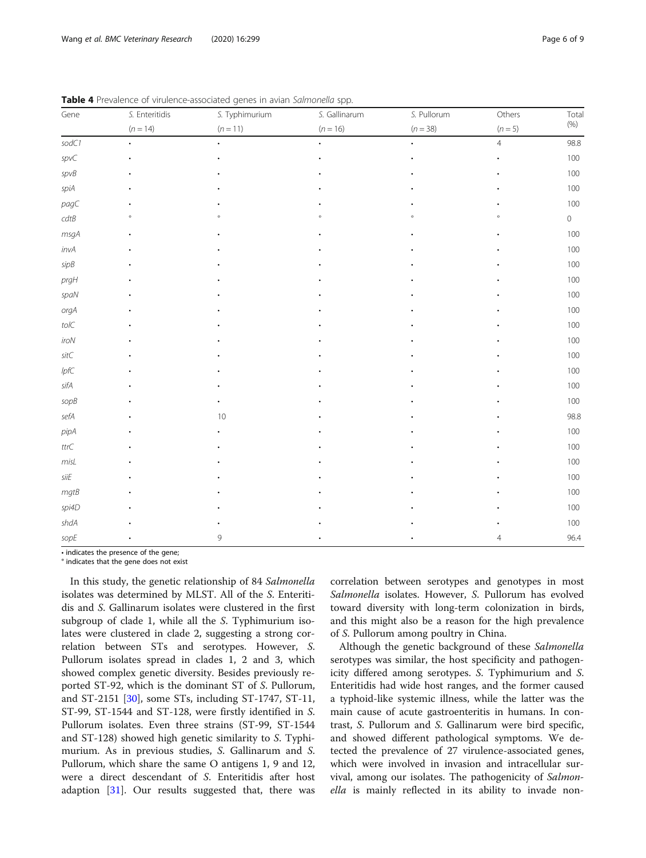| Gene                     | S. Enteritidis | S. Typhimurium | S. Gallinarum | S. Pullorum | Others         | Tota    |  |
|--------------------------|----------------|----------------|---------------|-------------|----------------|---------|--|
|                          | $(n = 14)$     | $(n = 11)$     | $(n = 16)$    | $(n = 38)$  | $(n = 5)$      | (% )    |  |
| sodC1                    |                |                |               |             | $\overline{4}$ | 98.8    |  |
| spvC                     |                |                |               |             |                | 100     |  |
| spvB                     |                |                |               |             |                | 100     |  |
| spiA                     |                |                |               |             |                | 100     |  |
| pagC                     |                |                |               |             |                | 100     |  |
| $cdtB$                   |                |                |               |             |                | $\circ$ |  |
| $msgA$                   |                |                |               |             |                | 100     |  |
| invA                     |                |                |               |             |                | 100     |  |
| sipB                     |                |                |               |             |                | $100\,$ |  |
| prgH                     |                |                |               |             |                | 100     |  |
| spaN                     |                |                |               |             |                | 100     |  |
| $\mathop{\textit{orgA}}$ |                |                |               |             |                | 100     |  |
| $\mathit{tolC}$          |                |                |               |             |                | 100     |  |
| iroN                     |                |                |               |             |                | 100     |  |
| $\mathit{sitC}$          |                |                |               |             |                | 100     |  |
| lpfC                     |                |                |               |             |                | 100     |  |
| $\mathit{sifA}$          |                |                |               |             |                | 100     |  |
| sopB                     |                |                |               |             |                | 100     |  |
| $\mathit{sefA}$          |                | 10             |               |             |                | 98.8    |  |
| pipA                     |                |                |               |             |                | 100     |  |
| $\mathsf{ttr}\mathsf{C}$ |                |                |               |             |                | 100     |  |
| misL                     |                |                |               |             |                | $100\,$ |  |
| $\mathit{silE}$          |                |                |               |             |                | 100     |  |
| $mgtB$                   |                |                |               |             |                | 100     |  |
| spi4D                    |                |                |               |             |                | 100     |  |
| shdA                     |                |                |               |             |                | 100     |  |
| sopE                     |                | 9              |               |             | 4              | 96.4    |  |

<span id="page-5-0"></span>Table 4 Prevalence of virulence-associated genes in avian Salmonella spp.

• indicates the presence of the gene;

° indicates that the gene does not exist

In this study, the genetic relationship of 84 Salmonella isolates was determined by MLST. All of the S. Enteritidis and S. Gallinarum isolates were clustered in the first subgroup of clade 1, while all the S. Typhimurium isolates were clustered in clade 2, suggesting a strong correlation between STs and serotypes. However, S. Pullorum isolates spread in clades 1, 2 and 3, which showed complex genetic diversity. Besides previously reported ST-92, which is the dominant ST of S. Pullorum, and ST-2151 [[30\]](#page-8-0), some STs, including ST-1747, ST-11, ST-99, ST-1544 and ST-128, were firstly identified in S. Pullorum isolates. Even three strains (ST-99, ST-1544 and ST-128) showed high genetic similarity to S. Typhimurium. As in previous studies, S. Gallinarum and S. Pullorum, which share the same O antigens 1, 9 and 12, were a direct descendant of S. Enteritidis after host adaption [\[31](#page-8-0)]. Our results suggested that, there was correlation between serotypes and genotypes in most Salmonella isolates. However, S. Pullorum has evolved toward diversity with long-term colonization in birds, and this might also be a reason for the high prevalence of S. Pullorum among poultry in China.

Although the genetic background of these Salmonella serotypes was similar, the host specificity and pathogenicity differed among serotypes. S. Typhimurium and S. Enteritidis had wide host ranges, and the former caused a typhoid-like systemic illness, while the latter was the main cause of acute gastroenteritis in humans. In contrast, S. Pullorum and S. Gallinarum were bird specific, and showed different pathological symptoms. We detected the prevalence of 27 virulence-associated genes, which were involved in invasion and intracellular survival, among our isolates. The pathogenicity of Salmonella is mainly reflected in its ability to invade non-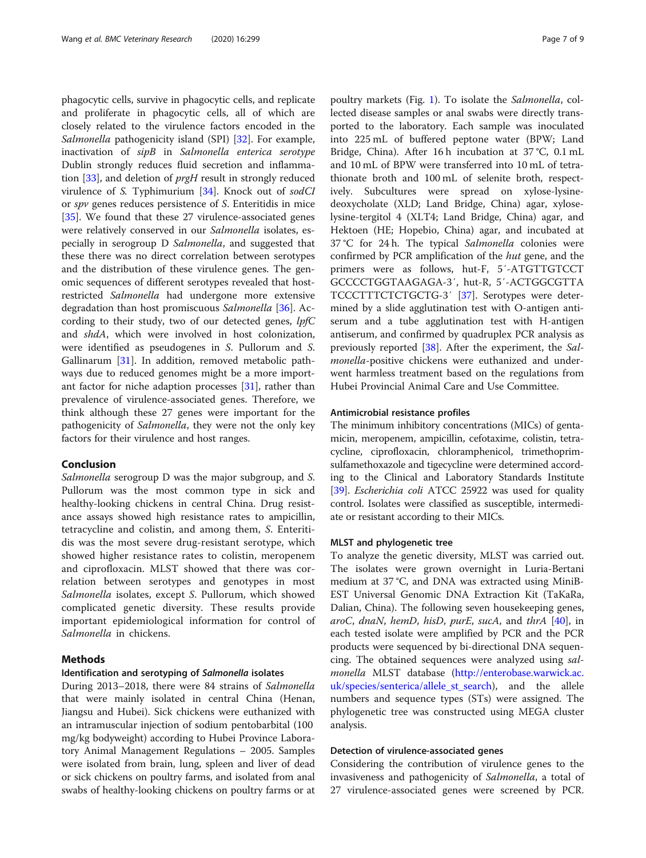phagocytic cells, survive in phagocytic cells, and replicate and proliferate in phagocytic cells, all of which are closely related to the virulence factors encoded in the Salmonella pathogenicity island (SPI) [\[32](#page-8-0)]. For example, inactivation of sipB in Salmonella enterica serotype Dublin strongly reduces fluid secretion and inflammation [\[33\]](#page-8-0), and deletion of prgH result in strongly reduced virulence of S. Typhimurium [[34\]](#page-8-0). Knock out of sodCI or spv genes reduces persistence of S. Enteritidis in mice [[35\]](#page-8-0). We found that these 27 virulence-associated genes were relatively conserved in our Salmonella isolates, especially in serogroup D Salmonella, and suggested that these there was no direct correlation between serotypes and the distribution of these virulence genes. The genomic sequences of different serotypes revealed that hostrestricted Salmonella had undergone more extensive degradation than host promiscuous Salmonella [\[36](#page-8-0)]. According to their study, two of our detected genes, lpfC and shdA, which were involved in host colonization, were identified as pseudogenes in S. Pullorum and S. Gallinarum [[31\]](#page-8-0). In addition, removed metabolic pathways due to reduced genomes might be a more important factor for niche adaption processes [\[31](#page-8-0)], rather than prevalence of virulence-associated genes. Therefore, we think although these 27 genes were important for the pathogenicity of Salmonella, they were not the only key factors for their virulence and host ranges.

## Conclusion

Salmonella serogroup D was the major subgroup, and S. Pullorum was the most common type in sick and healthy-looking chickens in central China. Drug resistance assays showed high resistance rates to ampicillin, tetracycline and colistin, and among them, S. Enteritidis was the most severe drug-resistant serotype, which showed higher resistance rates to colistin, meropenem and ciprofloxacin. MLST showed that there was correlation between serotypes and genotypes in most Salmonella isolates, except S. Pullorum, which showed complicated genetic diversity. These results provide important epidemiological information for control of Salmonella in chickens.

## **Methods**

## Identification and serotyping of Salmonella isolates

During 2013–2018, there were 84 strains of Salmonella that were mainly isolated in central China (Henan, Jiangsu and Hubei). Sick chickens were euthanized with an intramuscular injection of sodium pentobarbital (100 mg/kg bodyweight) according to Hubei Province Laboratory Animal Management Regulations – 2005. Samples were isolated from brain, lung, spleen and liver of dead or sick chickens on poultry farms, and isolated from anal swabs of healthy-looking chickens on poultry farms or at

poultry markets (Fig. [1\)](#page-4-0). To isolate the Salmonella, collected disease samples or anal swabs were directly transported to the laboratory. Each sample was inoculated into 225 mL of buffered peptone water (BPW; Land Bridge, China). After 16 h incubation at 37 °C, 0.1 mL and 10 mL of BPW were transferred into 10 mL of tetrathionate broth and 100 mL of selenite broth, respectively. Subcultures were spread on xylose-lysinedeoxycholate (XLD; Land Bridge, China) agar, xyloselysine-tergitol 4 (XLT4; Land Bridge, China) agar, and Hektoen (HE; Hopebio, China) agar, and incubated at 37 °C for 24 h. The typical Salmonella colonies were confirmed by PCR amplification of the hut gene, and the primers were as follows, hut-F, 5′-ATGTTGTCCT GCCCCTGGTAAGAGA-3′, hut-R, 5′-ACTGGCGTTA TCCCTTTCTCTGCTG-3′ [\[37](#page-8-0)]. Serotypes were determined by a slide agglutination test with O-antigen antiserum and a tube agglutination test with H-antigen antiserum, and confirmed by quadruplex PCR analysis as previously reported [\[38](#page-8-0)]. After the experiment, the Salmonella-positive chickens were euthanized and underwent harmless treatment based on the regulations from Hubei Provincial Animal Care and Use Committee.

## Antimicrobial resistance profiles

The minimum inhibitory concentrations (MICs) of gentamicin, meropenem, ampicillin, cefotaxime, colistin, tetracycline, ciprofloxacin, chloramphenicol, trimethoprimsulfamethoxazole and tigecycline were determined according to the Clinical and Laboratory Standards Institute [[39](#page-8-0)]. Escherichia coli ATCC 25922 was used for quality control. Isolates were classified as susceptible, intermediate or resistant according to their MICs.

## MLST and phylogenetic tree

To analyze the genetic diversity, MLST was carried out. The isolates were grown overnight in Luria-Bertani medium at 37 °C, and DNA was extracted using MiniB-EST Universal Genomic DNA Extraction Kit (TaKaRa, Dalian, China). The following seven housekeeping genes, aroC, dnaN, hemD, hisD, purE, sucA, and thrA  $[40]$  $[40]$ , in each tested isolate were amplified by PCR and the PCR products were sequenced by bi-directional DNA sequencing. The obtained sequences were analyzed using salmonella MLST database ([http://enterobase.warwick.ac.](http://enterobase.warwick.ac.uk/species/senterica/allele_st_search) [uk/species/senterica/allele\\_st\\_search\)](http://enterobase.warwick.ac.uk/species/senterica/allele_st_search), and the allele numbers and sequence types (STs) were assigned. The phylogenetic tree was constructed using MEGA cluster analysis.

## Detection of virulence-associated genes

Considering the contribution of virulence genes to the invasiveness and pathogenicity of Salmonella, a total of 27 virulence-associated genes were screened by PCR.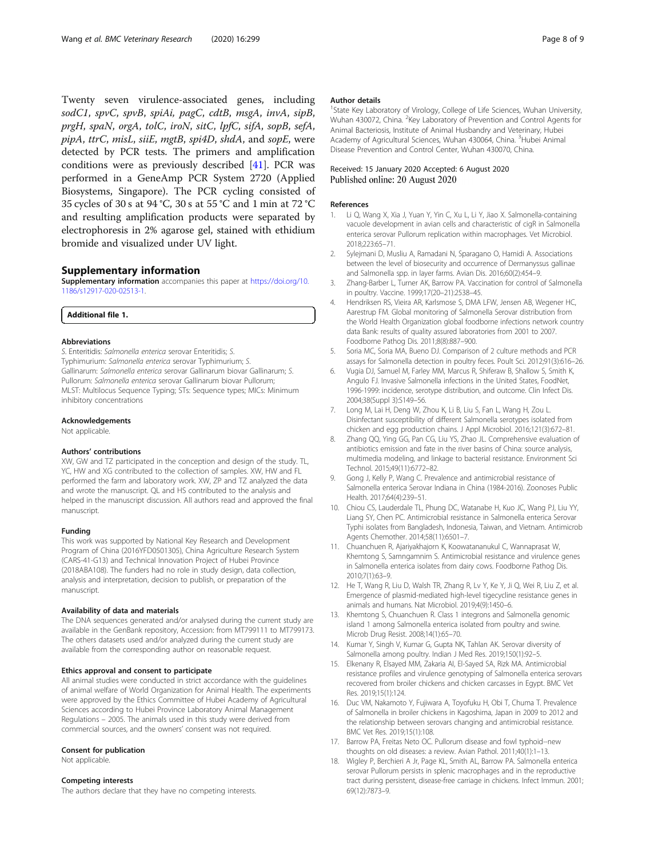<span id="page-7-0"></span>Twenty seven virulence-associated genes, including sodC1, spvC, spvB, spiAi, pagC, cdtB, msgA, invA, sipB, prgH, spaN, orgA, tolC, iroN, sitC, lpfC, sifA, sopB, sefA, pipA, ttrC, misL, siiE, mgtB, spi4D, shdA, and sopE, were detected by PCR tests. The primers and amplification conditions were as previously described [\[41\]](#page-8-0). PCR was performed in a GeneAmp PCR System 2720 (Applied Biosystems, Singapore). The PCR cycling consisted of 35 cycles of 30 s at 94 °C, 30 s at 55 °C and 1 min at 72 °C and resulting amplification products were separated by electrophoresis in 2% agarose gel, stained with ethidium bromide and visualized under UV light.

## Supplementary information

Supplementary information accompanies this paper at [https://doi.org/10.](https://doi.org/10.1186/s12917-020-02513-1) [1186/s12917-020-02513-1](https://doi.org/10.1186/s12917-020-02513-1).

#### Additional file 1.

#### Abbreviations

S. Enteritidis: Salmonella enterica serovar Enteritidis; S. Typhimurium: Salmonella enterica serovar Typhimurium; S. Gallinarum: Salmonella enterica serovar Gallinarum biovar Gallinarum; S. Pullorum: Salmonella enterica serovar Gallinarum biovar Pullorum; MLST: Multilocus Sequence Typing; STs: Sequence types; MICs: Minimum inhibitory concentrations

#### Acknowledgements

Not applicable.

#### Authors' contributions

XW, GW and TZ participated in the conception and design of the study. TL, YC, HW and XG contributed to the collection of samples. XW, HW and FL performed the farm and laboratory work. XW, ZP and TZ analyzed the data and wrote the manuscript. QL and HS contributed to the analysis and helped in the manuscript discussion. All authors read and approved the final manuscript.

## Funding

This work was supported by National Key Research and Development Program of China (2016YFD0501305), China Agriculture Research System (CARS-41-G13) and Technical Innovation Project of Hubei Province (2018ABA108). The funders had no role in study design, data collection, analysis and interpretation, decision to publish, or preparation of the manuscript.

#### Availability of data and materials

The DNA sequences generated and/or analysed during the current study are available in the GenBank repository, Accession: from MT799111 to MT799173. The others datasets used and/or analyzed during the current study are available from the corresponding author on reasonable request.

#### Ethics approval and consent to participate

All animal studies were conducted in strict accordance with the guidelines of animal welfare of World Organization for Animal Health. The experiments were approved by the Ethics Committee of Hubei Academy of Agricultural Sciences according to Hubei Province Laboratory Animal Management Regulations – 2005. The animals used in this study were derived from commercial sources, and the owners' consent was not required.

#### Consent for publication

Not applicable.

#### Competing interests

The authors declare that they have no competing interests.

#### Author details

<sup>1</sup>State Key Laboratory of Virology, College of Life Sciences, Wuhan University Wuhan 430072, China. <sup>2</sup> Key Laboratory of Prevention and Control Agents for Animal Bacteriosis, Institute of Animal Husbandry and Veterinary, Hubei Academy of Agricultural Sciences, Wuhan 430064, China. <sup>3</sup>Hubei Animal Disease Prevention and Control Center, Wuhan 430070, China.

#### Received: 15 January 2020 Accepted: 6 August 2020 Published online: 20 August 2020

#### References

- 1. Li Q, Wang X, Xia J, Yuan Y, Yin C, Xu L, Li Y, Jiao X. Salmonella-containing vacuole development in avian cells and characteristic of cigR in Salmonella enterica serovar Pullorum replication within macrophages. Vet Microbiol. 2018;223:65–71.
- 2. Sylejmani D, Musliu A, Ramadani N, Sparagano O, Hamidi A. Associations between the level of biosecurity and occurrence of Dermanyssus gallinae and Salmonella spp. in layer farms. Avian Dis. 2016;60(2):454–9.
- 3. Zhang-Barber L, Turner AK, Barrow PA. Vaccination for control of Salmonella in poultry. Vaccine. 1999;17(20–21):2538–45.
- 4. Hendriksen RS, Vieira AR, Karlsmose S, DMA LFW, Jensen AB, Wegener HC, Aarestrup FM. Global monitoring of Salmonella Serovar distribution from the World Health Organization global foodborne infections network country data Bank: results of quality assured laboratories from 2001 to 2007. Foodborne Pathog Dis. 2011;8(8):887–900.
- 5. Soria MC, Soria MA, Bueno DJ. Comparison of 2 culture methods and PCR assays for Salmonella detection in poultry feces. Poult Sci. 2012;91(3):616–26.
- 6. Vugia DJ, Samuel M, Farley MM, Marcus R, Shiferaw B, Shallow S, Smith K, Angulo FJ. Invasive Salmonella infections in the United States, FoodNet, 1996-1999: incidence, serotype distribution, and outcome. Clin Infect Dis. 2004;38(Suppl 3):S149–56.
- 7. Long M, Lai H, Deng W, Zhou K, Li B, Liu S, Fan L, Wang H, Zou L. Disinfectant susceptibility of different Salmonella serotypes isolated from chicken and egg production chains. J Appl Microbiol. 2016;121(3):672–81.
- 8. Zhang QQ, Ying GG, Pan CG, Liu YS, Zhao JL. Comprehensive evaluation of antibiotics emission and fate in the river basins of China: source analysis, multimedia modeling, and linkage to bacterial resistance. Environment Sci Technol. 2015;49(11):6772–82.
- 9. Gong J, Kelly P, Wang C. Prevalence and antimicrobial resistance of Salmonella enterica Serovar Indiana in China (1984-2016). Zoonoses Public Health. 2017;64(4):239–51.
- 10. Chiou CS, Lauderdale TL, Phung DC, Watanabe H, Kuo JC, Wang PJ, Liu YY, Liang SY, Chen PC. Antimicrobial resistance in Salmonella enterica Serovar Typhi isolates from Bangladesh, Indonesia, Taiwan, and Vietnam. Antimicrob Agents Chemother. 2014;58(11):6501–7.
- 11. Chuanchuen R, Ajariyakhajorn K, Koowatananukul C, Wannaprasat W, Khemtong S, Samngamnim S. Antimicrobial resistance and virulence genes in Salmonella enterica isolates from dairy cows. Foodborne Pathog Dis. 2010;7(1):63–9.
- 12. He T, Wang R, Liu D, Walsh TR, Zhang R, Lv Y, Ke Y, Ji Q, Wei R, Liu Z, et al. Emergence of plasmid-mediated high-level tigecycline resistance genes in animals and humans. Nat Microbiol. 2019;4(9):1450–6.
- 13. Khemtong S, Chuanchuen R. Class 1 integrons and Salmonella genomic island 1 among Salmonella enterica isolated from poultry and swine. Microb Drug Resist. 2008;14(1):65–70.
- 14. Kumar Y, Singh V, Kumar G, Gupta NK, Tahlan AK. Serovar diversity of Salmonella among poultry. Indian J Med Res. 2019;150(1):92–5.
- 15. Elkenany R, Elsayed MM, Zakaria AI, El-Sayed SA, Rizk MA. Antimicrobial resistance profiles and virulence genotyping of Salmonella enterica serovars recovered from broiler chickens and chicken carcasses in Egypt. BMC Vet Res. 2019;15(1):124.
- 16. Duc VM, Nakamoto Y, Fujiwara A, Toyofuku H, Obi T, Chuma T. Prevalence of Salmonella in broiler chickens in Kagoshima, Japan in 2009 to 2012 and the relationship between serovars changing and antimicrobial resistance. BMC Vet Res. 2019;15(1):108.
- 17. Barrow PA, Freitas Neto OC. Pullorum disease and fowl typhoid--new thoughts on old diseases: a review. Avian Pathol. 2011;40(1):1–13.
- 18. Wigley P, Berchieri A Jr, Page KL, Smith AL, Barrow PA. Salmonella enterica serovar Pullorum persists in splenic macrophages and in the reproductive tract during persistent, disease-free carriage in chickens. Infect Immun. 2001; 69(12):7873–9.